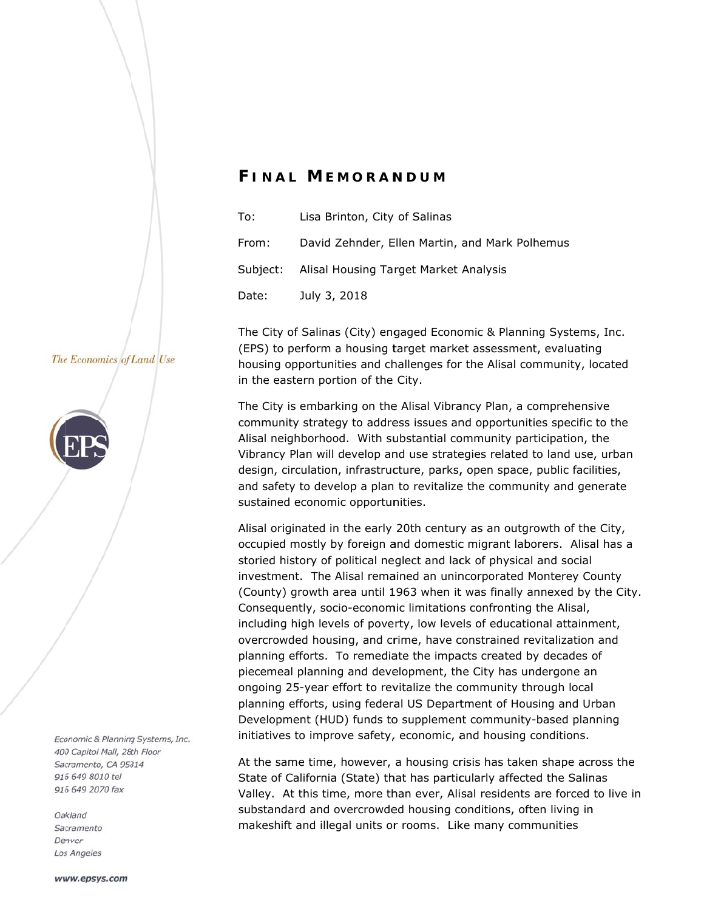## *F I N AL M E MORA N N DUM*

| To:   | Lisa Brinton, City of Salinas                  |
|-------|------------------------------------------------|
| From: | David Zehnder, Ellen Martin, and Mark Polhemus |
|       | Subject: Alisal Housing Target Market Analysis |
| Date: | July 3, 2018                                   |

The City of Salinas (City) engaged Economic & Planning Systems, Inc. (EPS) to perform a housing target market assessment, evaluating housing opportunities and challenges for the Alisal community, located in the eastern portion of the City.

The City is embarking on the Alisal Vibrancy Plan, a comprehensive community strategy to address issues and opportunities specific to the Alisal neighborhood. With substantial community participation, the Vibrancy Plan will develop and use strategies related to land use, urban design, circulation, infrastructure, parks, open space, public facilities, and safety to develop a plan to revitalize the community and generate sustained economic opportunities.

Alisal originated in the early 20th century as an outgrowth of the City, occu pied mostly by foreign a and domestic c migrant lab borers. Alisa al has a storied history of political neglect and lack of physical and social investment. The Alisal remained an unincorporated Monterey County (County) growth area until 1963 when it was finally annexed by the City. Consequently, socio-economic limitations confronting the Alisal, including high levels of poverty, low levels of educational attainment, overcrowded housing, and crime, have constrained revitalization and planning efforts. To remediate the impacts created by decades of piecemeal planning and development, the City has undergone an<br>ongoing 25-year effort to revitalize the community through local ongoing 25-year effort to revitalize the community through local planning efforts, using federal US Department of Housing and Urban Development (HUD) funds to supplement community-based planning initiatives to improve safety, economic, and housing conditions.

At the same time, however, a housing crisis has taken shape across the State of California (State) that has particularly affected the Salinas Valley. At this time, more than ever, Alisal residents are forced to live in substandard and overcrowded housing conditions, often living in makeshift and illegal units or rooms. Like many communities

## The Economics of Land Use



Economic & Planning Systems, Inc. 400 Capitol Mall, 28th Floor Sacramento, CA 95814 916 649 8010 tel 916 649 2070 fax

Oakland Sacramento Denver Los Angeles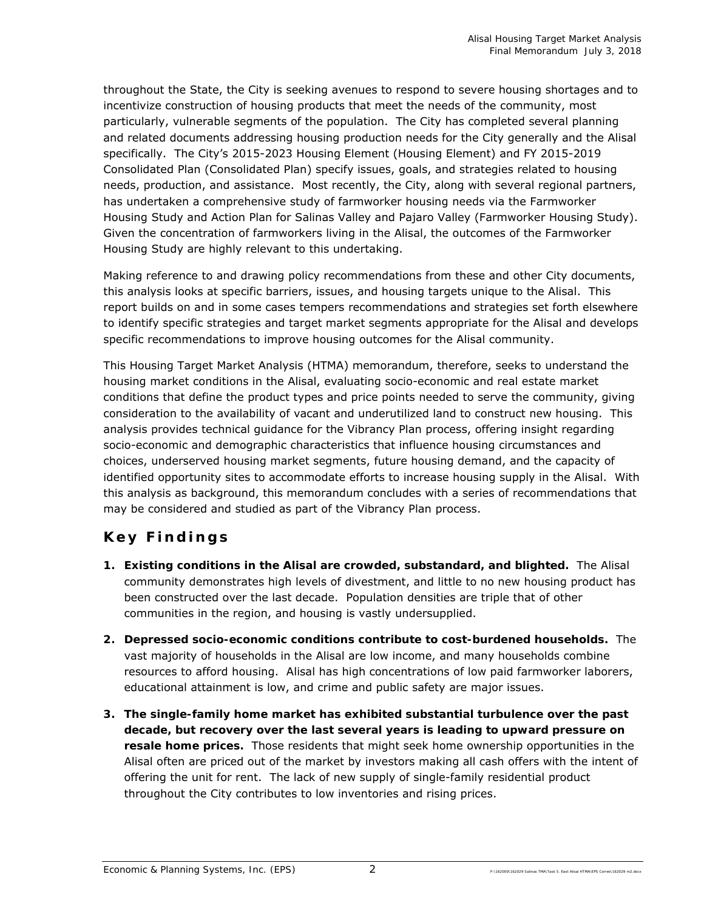throughout the State, the City is seeking avenues to respond to severe housing shortages and to incentivize construction of housing products that meet the needs of the community, most particularly, vulnerable segments of the population. The City has completed several planning and related documents addressing housing production needs for the City generally and the Alisal specifically. The City's 2015-2023 Housing Element (Housing Element) and FY 2015-2019 Consolidated Plan (Consolidated Plan) specify issues, goals, and strategies related to housing needs, production, and assistance. Most recently, the City, along with several regional partners, has undertaken a comprehensive study of farmworker housing needs via the Farmworker Housing Study and Action Plan for Salinas Valley and Pajaro Valley (Farmworker Housing Study). Given the concentration of farmworkers living in the Alisal, the outcomes of the Farmworker Housing Study are highly relevant to this undertaking.

Making reference to and drawing policy recommendations from these and other City documents, this analysis looks at specific barriers, issues, and housing targets unique to the Alisal. This report builds on and in some cases tempers recommendations and strategies set forth elsewhere to identify specific strategies and target market segments appropriate for the Alisal and develops specific recommendations to improve housing outcomes for the Alisal community.

This Housing Target Market Analysis (HTMA) memorandum, therefore, seeks to understand the housing market conditions in the Alisal, evaluating socio-economic and real estate market conditions that define the product types and price points needed to serve the community, giving consideration to the availability of vacant and underutilized land to construct new housing. This analysis provides technical guidance for the Vibrancy Plan process, offering insight regarding socio-economic and demographic characteristics that influence housing circumstances and choices, underserved housing market segments, future housing demand, and the capacity of identified opportunity sites to accommodate efforts to increase housing supply in the Alisal. With this analysis as background, this memorandum concludes with a series of recommendations that may be considered and studied as part of the Vibrancy Plan process.

## **Key Findings**

- **1. Existing conditions in the Alisal are crowded, substandard, and blighted.** The Alisal community demonstrates high levels of divestment, and little to no new housing product has been constructed over the last decade. Population densities are triple that of other communities in the region, and housing is vastly undersupplied.
- **2. Depressed socio-economic conditions contribute to cost-burdened households.** The vast majority of households in the Alisal are low income, and many households combine resources to afford housing. Alisal has high concentrations of low paid farmworker laborers, educational attainment is low, and crime and public safety are major issues.
- **3. The single-family home market has exhibited substantial turbulence over the past decade, but recovery over the last several years is leading to upward pressure on resale home prices.** Those residents that might seek home ownership opportunities in the Alisal often are priced out of the market by investors making all cash offers with the intent of offering the unit for rent. The lack of new supply of single-family residential product throughout the City contributes to low inventories and rising prices.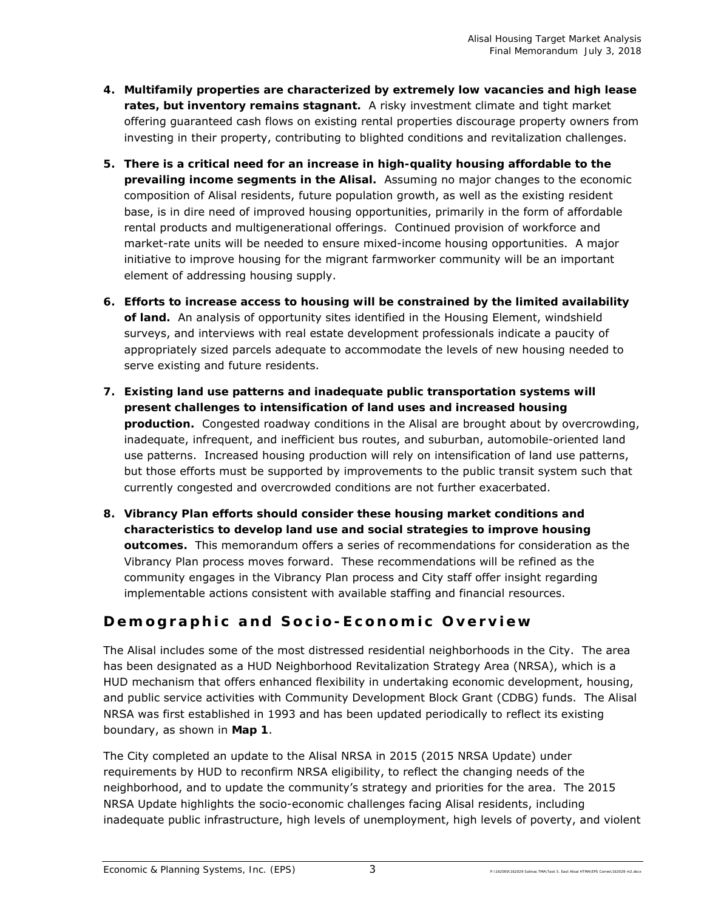- **4. Multifamily properties are characterized by extremely low vacancies and high lease rates, but inventory remains stagnant.** A risky investment climate and tight market offering guaranteed cash flows on existing rental properties discourage property owners from investing in their property, contributing to blighted conditions and revitalization challenges.
- **5. There is a critical need for an increase in high-quality housing affordable to the prevailing income segments in the Alisal.** Assuming no major changes to the economic composition of Alisal residents, future population growth, as well as the existing resident base, is in dire need of improved housing opportunities, primarily in the form of affordable rental products and multigenerational offerings. Continued provision of workforce and market-rate units will be needed to ensure mixed-income housing opportunities. A major initiative to improve housing for the migrant farmworker community will be an important element of addressing housing supply.
- **6. Efforts to increase access to housing will be constrained by the limited availability of land.** An analysis of opportunity sites identified in the Housing Element, windshield surveys, and interviews with real estate development professionals indicate a paucity of appropriately sized parcels adequate to accommodate the levels of new housing needed to serve existing and future residents.
- **7. Existing land use patterns and inadequate public transportation systems will present challenges to intensification of land uses and increased housing production.** Congested roadway conditions in the Alisal are brought about by overcrowding, inadequate, infrequent, and inefficient bus routes, and suburban, automobile-oriented land use patterns. Increased housing production will rely on intensification of land use patterns, but those efforts must be supported by improvements to the public transit system such that currently congested and overcrowded conditions are not further exacerbated.
- **8. Vibrancy Plan efforts should consider these housing market conditions and characteristics to develop land use and social strategies to improve housing outcomes.** This memorandum offers a series of recommendations for consideration as the Vibrancy Plan process moves forward. These recommendations will be refined as the community engages in the Vibrancy Plan process and City staff offer insight regarding implementable actions consistent with available staffing and financial resources.

## **Demographic and Socio-Economic Overview**

The Alisal includes some of the most distressed residential neighborhoods in the City. The area has been designated as a HUD Neighborhood Revitalization Strategy Area (NRSA), which is a HUD mechanism that offers enhanced flexibility in undertaking economic development, housing, and public service activities with Community Development Block Grant (CDBG) funds. The Alisal NRSA was first established in 1993 and has been updated periodically to reflect its existing boundary, as shown in **Map 1**.

The City completed an update to the Alisal NRSA in 2015 (2015 NRSA Update) under requirements by HUD to reconfirm NRSA eligibility, to reflect the changing needs of the neighborhood, and to update the community's strategy and priorities for the area. The 2015 NRSA Update highlights the socio-economic challenges facing Alisal residents, including inadequate public infrastructure, high levels of unemployment, high levels of poverty, and violent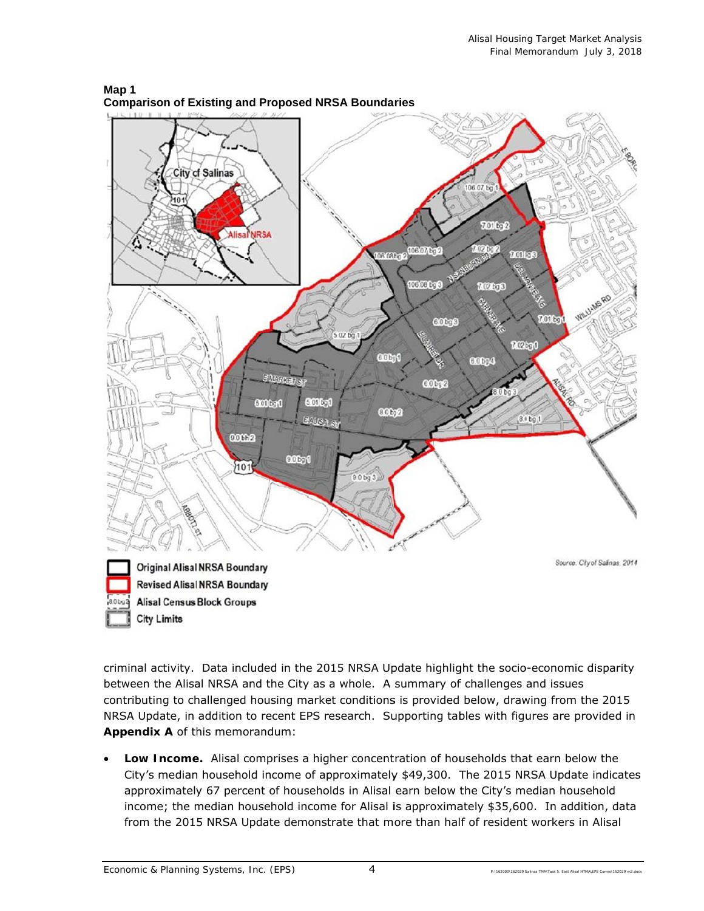

**Map 1 Comparison of Existing and Proposed NRSA Boundaries** 

criminal activity. Data included in the 2015 NRSA Update highlight the socio-economic disparity between the Alisal NRSA and the City as a whole. A summary of challenges and issues contributing to challenged housing market conditions is provided below, drawing from the 2015 NRSA Update, in addition to recent EPS research. Supporting tables with figures are provided in Appendix A of this memorandum:

**• Low Income.** Alisal comprises a higher concentration of households that earn below the City's median household income of approximately \$49,300. The 2015 NRSA Update indicates approximately 67 percent of households in Alisal earn below the City's median household income; the median household income for Alisal is approximately \$35,600. In addition, data from the 2015 NRSA Update demonstrate that more than half of resident workers in Alisal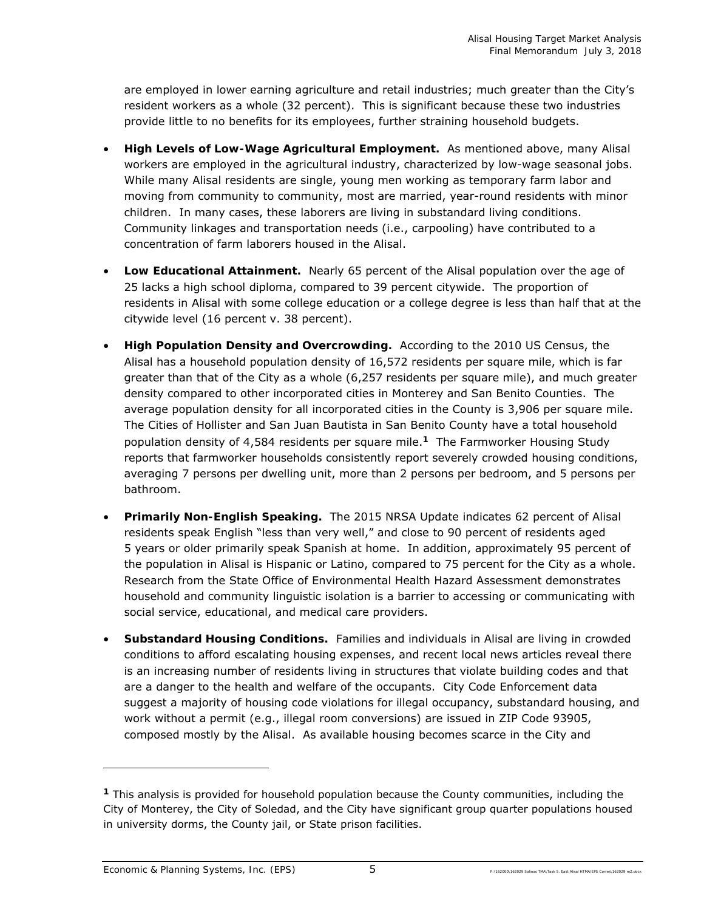are employed in lower earning agriculture and retail industries; much greater than the City's resident workers as a whole (32 percent). This is significant because these two industries provide little to no benefits for its employees, further straining household budgets.

- **High Levels of Low-Wage Agricultural Employment.** As mentioned above, many Alisal workers are employed in the agricultural industry, characterized by low-wage seasonal jobs. While many Alisal residents are single, young men working as temporary farm labor and moving from community to community, most are married, year-round residents with minor children. In many cases, these laborers are living in substandard living conditions. Community linkages and transportation needs (i.e., carpooling) have contributed to a concentration of farm laborers housed in the Alisal.
- **Low Educational Attainment.** Nearly 65 percent of the Alisal population over the age of 25 lacks a high school diploma, compared to 39 percent citywide. The proportion of residents in Alisal with some college education or a college degree is less than half that at the citywide level (16 percent v. 38 percent).
- **High Population Density and Overcrowding.** According to the 2010 US Census, the Alisal has a household population density of 16,572 residents per square mile, which is far greater than that of the City as a whole (6,257 residents per square mile), and much greater density compared to other incorporated cities in Monterey and San Benito Counties. The average population density for all incorporated cities in the County is 3,906 per square mile. The Cities of Hollister and San Juan Bautista in San Benito County have a total household population density of 4,584 residents per square mile.**1** The Farmworker Housing Study reports that farmworker households consistently report severely crowded housing conditions, averaging 7 persons per dwelling unit, more than 2 persons per bedroom, and 5 persons per bathroom.
- **Primarily Non-English Speaking.** The 2015 NRSA Update indicates 62 percent of Alisal residents speak English "less than very well," and close to 90 percent of residents aged 5 years or older primarily speak Spanish at home. In addition, approximately 95 percent of the population in Alisal is Hispanic or Latino, compared to 75 percent for the City as a whole. Research from the State Office of Environmental Health Hazard Assessment demonstrates household and community linguistic isolation is a barrier to accessing or communicating with social service, educational, and medical care providers.
- **Substandard Housing Conditions.** Families and individuals in Alisal are living in crowded conditions to afford escalating housing expenses, and recent local news articles reveal there is an increasing number of residents living in structures that violate building codes and that are a danger to the health and welfare of the occupants. City Code Enforcement data suggest a majority of housing code violations for illegal occupancy, substandard housing, and work without a permit (e.g., illegal room conversions) are issued in ZIP Code 93905, composed mostly by the Alisal. As available housing becomes scarce in the City and

-

**<sup>1</sup>** This analysis is provided for household population because the County communities, including the City of Monterey, the City of Soledad, and the City have significant group quarter populations housed in university dorms, the County jail, or State prison facilities.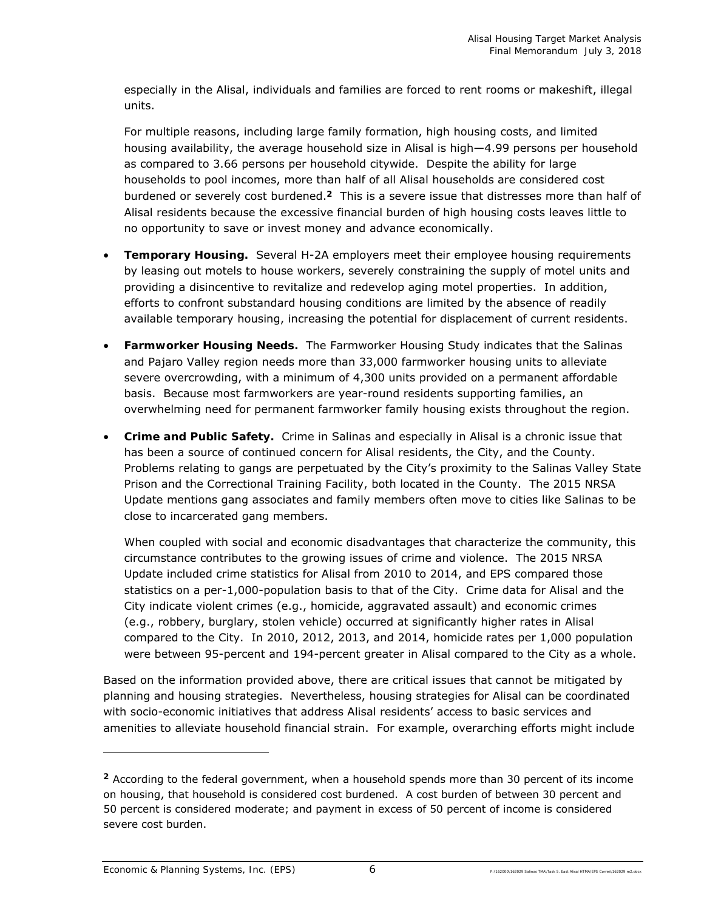especially in the Alisal, individuals and families are forced to rent rooms or makeshift, illegal units.

For multiple reasons, including large family formation, high housing costs, and limited housing availability, the average household size in Alisal is high—4.99 persons per household as compared to 3.66 persons per household citywide. Despite the ability for large households to pool incomes, more than half of all Alisal households are considered cost burdened or severely cost burdened.**2** This is a severe issue that distresses more than half of Alisal residents because the excessive financial burden of high housing costs leaves little to no opportunity to save or invest money and advance economically.

- **Temporary Housing.** Several H-2A employers meet their employee housing requirements by leasing out motels to house workers, severely constraining the supply of motel units and providing a disincentive to revitalize and redevelop aging motel properties. In addition, efforts to confront substandard housing conditions are limited by the absence of readily available temporary housing, increasing the potential for displacement of current residents.
- **Farmworker Housing Needs.** The Farmworker Housing Study indicates that the Salinas and Pajaro Valley region needs more than 33,000 farmworker housing units to alleviate severe overcrowding, with a minimum of 4,300 units provided on a permanent affordable basis. Because most farmworkers are year-round residents supporting families, an overwhelming need for permanent farmworker family housing exists throughout the region.
- **Crime and Public Safety.** Crime in Salinas and especially in Alisal is a chronic issue that has been a source of continued concern for Alisal residents, the City, and the County. Problems relating to gangs are perpetuated by the City's proximity to the Salinas Valley State Prison and the Correctional Training Facility, both located in the County. The 2015 NRSA Update mentions gang associates and family members often move to cities like Salinas to be close to incarcerated gang members.

When coupled with social and economic disadvantages that characterize the community, this circumstance contributes to the growing issues of crime and violence. The 2015 NRSA Update included crime statistics for Alisal from 2010 to 2014, and EPS compared those statistics on a per-1,000-population basis to that of the City. Crime data for Alisal and the City indicate violent crimes (e.g., homicide, aggravated assault) and economic crimes (e.g., robbery, burglary, stolen vehicle) occurred at significantly higher rates in Alisal compared to the City. In 2010, 2012, 2013, and 2014, homicide rates per 1,000 population were between 95-percent and 194-percent greater in Alisal compared to the City as a whole.

Based on the information provided above, there are critical issues that cannot be mitigated by planning and housing strategies. Nevertheless, housing strategies for Alisal can be coordinated with socio-economic initiatives that address Alisal residents' access to basic services and amenities to alleviate household financial strain. For example, overarching efforts might include

-

**<sup>2</sup>** According to the federal government, when a household spends more than 30 percent of its income on housing, that household is considered cost burdened. A cost burden of between 30 percent and 50 percent is considered moderate; and payment in excess of 50 percent of income is considered severe cost burden.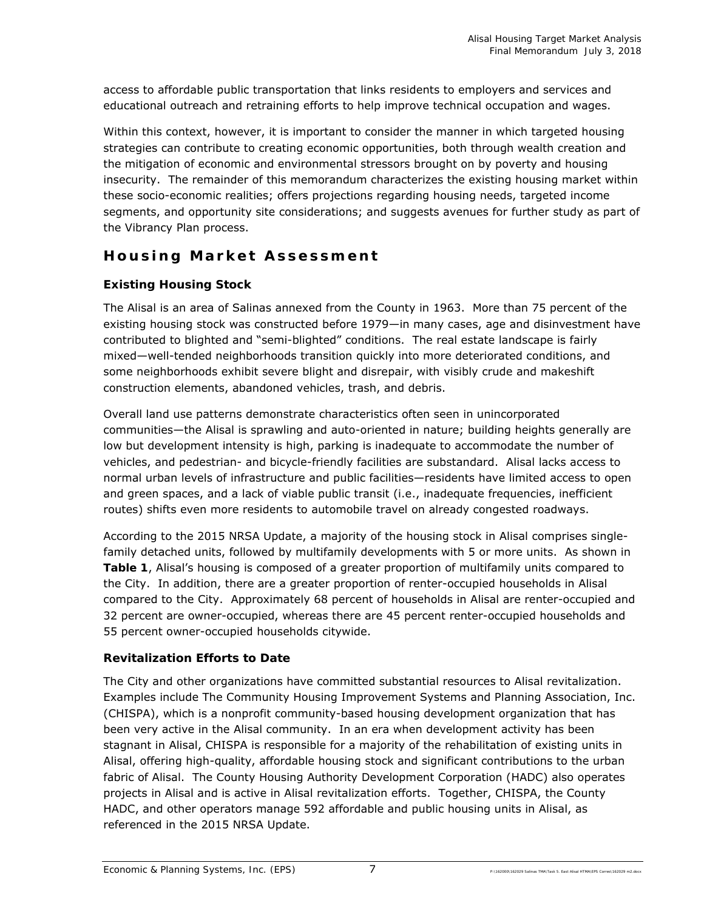access to affordable public transportation that links residents to employers and services and educational outreach and retraining efforts to help improve technical occupation and wages.

Within this context, however, it is important to consider the manner in which targeted housing strategies can contribute to creating economic opportunities, both through wealth creation and the mitigation of economic and environmental stressors brought on by poverty and housing insecurity. The remainder of this memorandum characterizes the existing housing market within these socio-economic realities; offers projections regarding housing needs, targeted income segments, and opportunity site considerations; and suggests avenues for further study as part of the Vibrancy Plan process.

## **Housing Market Assessment**

## **Existing Housing Stock**

The Alisal is an area of Salinas annexed from the County in 1963. More than 75 percent of the existing housing stock was constructed before 1979—in many cases, age and disinvestment have contributed to blighted and "semi-blighted" conditions. The real estate landscape is fairly mixed—well-tended neighborhoods transition quickly into more deteriorated conditions, and some neighborhoods exhibit severe blight and disrepair, with visibly crude and makeshift construction elements, abandoned vehicles, trash, and debris.

Overall land use patterns demonstrate characteristics often seen in unincorporated communities—the Alisal is sprawling and auto-oriented in nature; building heights generally are low but development intensity is high, parking is inadequate to accommodate the number of vehicles, and pedestrian- and bicycle-friendly facilities are substandard. Alisal lacks access to normal urban levels of infrastructure and public facilities—residents have limited access to open and green spaces, and a lack of viable public transit (i.e., inadequate frequencies, inefficient routes) shifts even more residents to automobile travel on already congested roadways.

According to the 2015 NRSA Update, a majority of the housing stock in Alisal comprises singlefamily detached units, followed by multifamily developments with 5 or more units. As shown in **Table 1**, Alisal's housing is composed of a greater proportion of multifamily units compared to the City. In addition, there are a greater proportion of renter-occupied households in Alisal compared to the City. Approximately 68 percent of households in Alisal are renter-occupied and 32 percent are owner-occupied, whereas there are 45 percent renter-occupied households and 55 percent owner-occupied households citywide.

## **Revitalization Efforts to Date**

The City and other organizations have committed substantial resources to Alisal revitalization. Examples include The Community Housing Improvement Systems and Planning Association, Inc. (CHISPA), which is a nonprofit community-based housing development organization that has been very active in the Alisal community. In an era when development activity has been stagnant in Alisal, CHISPA is responsible for a majority of the rehabilitation of existing units in Alisal, offering high-quality, affordable housing stock and significant contributions to the urban fabric of Alisal. The County Housing Authority Development Corporation (HADC) also operates projects in Alisal and is active in Alisal revitalization efforts. Together, CHISPA, the County HADC, and other operators manage 592 affordable and public housing units in Alisal, as referenced in the 2015 NRSA Update.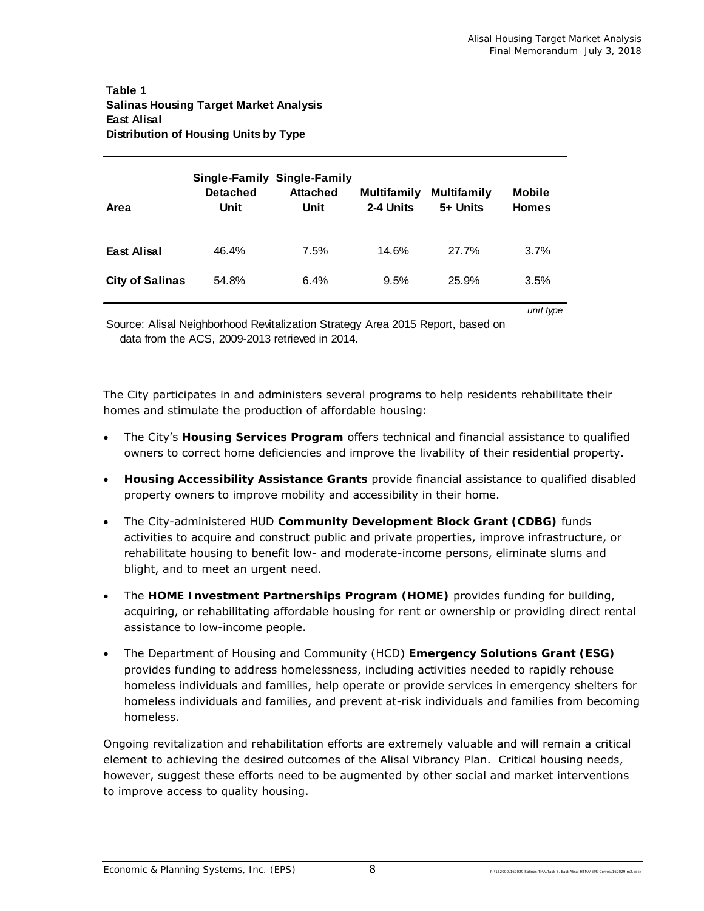### **Table 1 Salinas Housing Target Market Analysis East Alisal Distribution of Housing Units by Type**

| Area                   | <b>Detached</b><br>Unit | <b>Single-Family Single-Family</b><br><b>Attached</b><br>Unit | <b>Multifamily</b><br>2-4 Units | <b>Multifamily</b><br>5+ Units | <b>Mobile</b><br><b>Homes</b> |
|------------------------|-------------------------|---------------------------------------------------------------|---------------------------------|--------------------------------|-------------------------------|
| East Alisal            | 46.4%                   | 7.5%                                                          | 14.6%                           | 27.7%                          | 3.7%                          |
| <b>City of Salinas</b> | 54.8%                   | 6.4%                                                          | 9.5%                            | 25.9%                          | 3.5%                          |

*unit type*

Source: Alisal Neighborhood Revitalization Strategy Area 2015 Report, based on data from the ACS, 2009-2013 retrieved in 2014.

The City participates in and administers several programs to help residents rehabilitate their homes and stimulate the production of affordable housing:

- The City's **Housing Services Program** offers technical and financial assistance to qualified owners to correct home deficiencies and improve the livability of their residential property.
- **Housing Accessibility Assistance Grants** provide financial assistance to qualified disabled property owners to improve mobility and accessibility in their home.
- The City-administered HUD **Community Development Block Grant (CDBG)** funds activities to acquire and construct public and private properties, improve infrastructure, or rehabilitate housing to benefit low- and moderate-income persons, eliminate slums and blight, and to meet an urgent need.
- The **HOME Investment Partnerships Program (HOME)** provides funding for building, acquiring, or rehabilitating affordable housing for rent or ownership or providing direct rental assistance to low-income people.
- The Department of Housing and Community (HCD) **Emergency Solutions Grant (ESG)** provides funding to address homelessness, including activities needed to rapidly rehouse homeless individuals and families, help operate or provide services in emergency shelters for homeless individuals and families, and prevent at-risk individuals and families from becoming homeless.

Ongoing revitalization and rehabilitation efforts are extremely valuable and will remain a critical element to achieving the desired outcomes of the Alisal Vibrancy Plan. Critical housing needs, however, suggest these efforts need to be augmented by other social and market interventions to improve access to quality housing.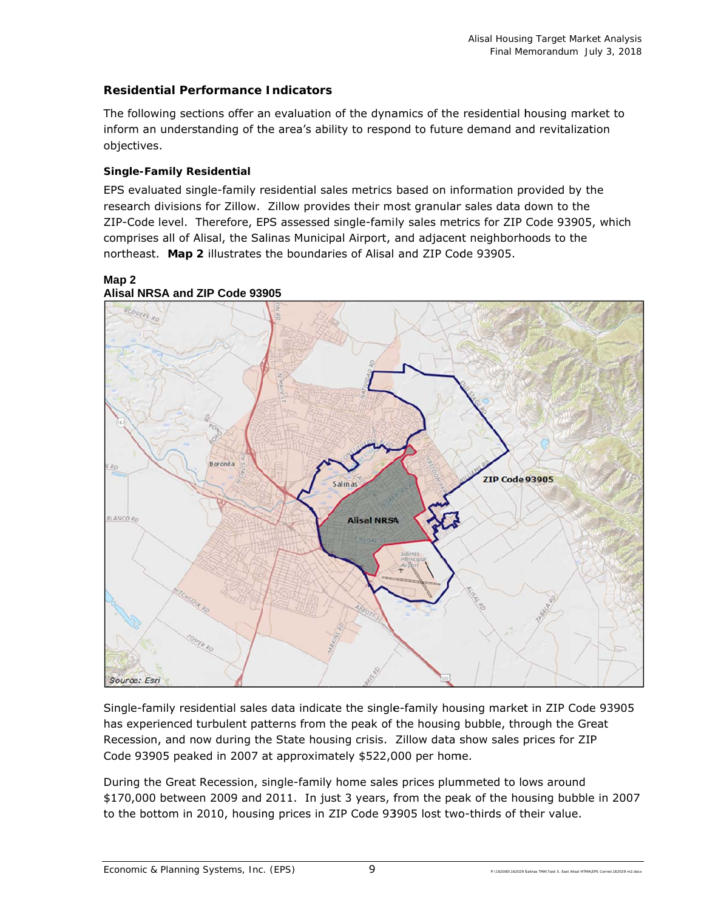## **Residential Performance Indicators**

The following sections offer an evaluation of the dynamics of the residential housing market to inform an understanding of the area's ability to respond to future demand and revitalization objec ctives.

## **Single-Family Residential**

EPS evaluated single-family residential sales metrics based on information provided by the research divisions for Zillow. Zillow provides their most granular sales data down to the ZIP-Code level. Therefore, EPS assessed single-family sales metrics for ZIP Code 93905, which comprises all of Alisal, the Salinas Municipal Airport, and adjacent neighborhoods to the northeast. Map 2 illustrates the boundaries of Alisal and ZIP Code 93905.



Single-family residential sales data indicate the single-family housing market in ZIP Code 93905 has experienced turbulent patterns from the peak of the housing bubble, through the Great Recession, and now during the State housing crisis. Zillow data show sales prices for ZIP Code 93905 peaked in 2007 at approximately \$522,000 per home.

During the Great Recession, single-family home sales prices plummeted to lows around Recession, and now during the State housing crisis. Zillow data show sales prices for ZIP<br>Code 93905 peaked in 2007 at approximately \$522,000 per home.<br>During the Great Recession, single-family home sales prices plummeted to the bottom in 2010, housing prices in ZIP Code 93905 lost two-thirds of their value.

9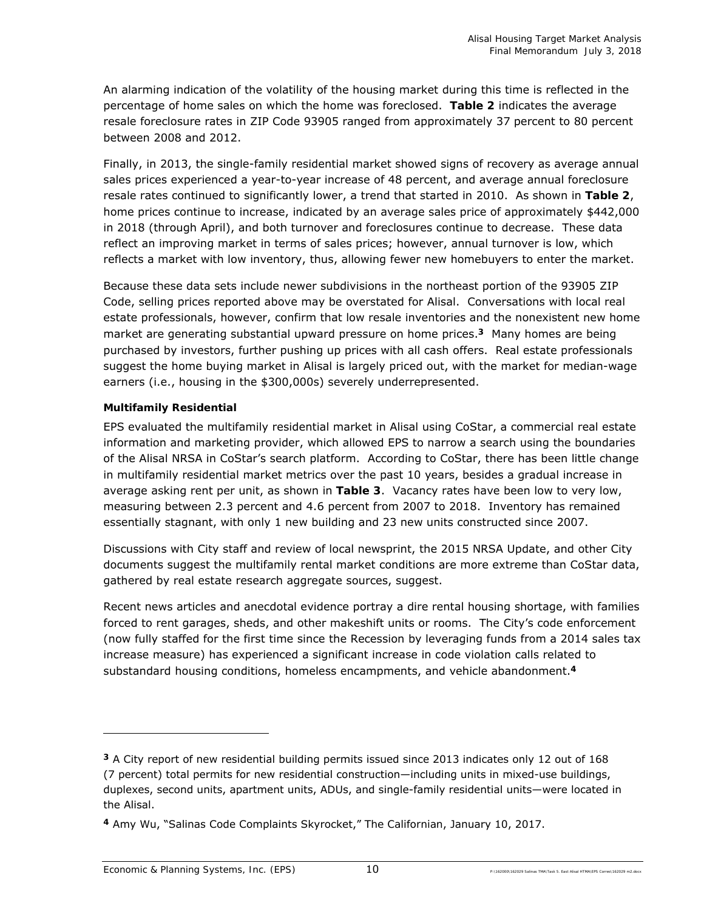An alarming indication of the volatility of the housing market during this time is reflected in the percentage of home sales on which the home was foreclosed. **Table 2** indicates the average resale foreclosure rates in ZIP Code 93905 ranged from approximately 37 percent to 80 percent between 2008 and 2012.

Finally, in 2013, the single-family residential market showed signs of recovery as average annual sales prices experienced a year-to-year increase of 48 percent, and average annual foreclosure resale rates continued to significantly lower, a trend that started in 2010. As shown in **Table 2**, home prices continue to increase, indicated by an average sales price of approximately \$442,000 in 2018 (through April), and both turnover and foreclosures continue to decrease. These data reflect an improving market in terms of sales prices; however, annual turnover is low, which reflects a market with low inventory, thus, allowing fewer new homebuyers to enter the market.

Because these data sets include newer subdivisions in the northeast portion of the 93905 ZIP Code, selling prices reported above may be overstated for Alisal. Conversations with local real estate professionals, however, confirm that low resale inventories and the nonexistent new home market are generating substantial upward pressure on home prices.**3** Many homes are being purchased by investors, further pushing up prices with all cash offers. Real estate professionals suggest the home buying market in Alisal is largely priced out, with the market for median-wage earners (i.e., housing in the \$300,000s) severely underrepresented.

## *Multifamily Residential*

EPS evaluated the multifamily residential market in Alisal using CoStar, a commercial real estate information and marketing provider, which allowed EPS to narrow a search using the boundaries of the Alisal NRSA in CoStar's search platform. According to CoStar, there has been little change in multifamily residential market metrics over the past 10 years, besides a gradual increase in average asking rent per unit, as shown in **Table 3**. Vacancy rates have been low to very low, measuring between 2.3 percent and 4.6 percent from 2007 to 2018. Inventory has remained essentially stagnant, with only 1 new building and 23 new units constructed since 2007.

Discussions with City staff and review of local newsprint, the 2015 NRSA Update, and other City documents suggest the multifamily rental market conditions are more extreme than CoStar data, gathered by real estate research aggregate sources, suggest.

Recent news articles and anecdotal evidence portray a dire rental housing shortage, with families forced to rent garages, sheds, and other makeshift units or rooms. The City's code enforcement (now fully staffed for the first time since the Recession by leveraging funds from a 2014 sales tax increase measure) has experienced a significant increase in code violation calls related to substandard housing conditions, homeless encampments, and vehicle abandonment.**<sup>4</sup>**

-

**<sup>3</sup>** A City report of new residential building permits issued since 2013 indicates only 12 out of 168 (7 percent) total permits for new residential construction—including units in mixed-use buildings, duplexes, second units, apartment units, ADUs, and single-family residential units—were located in the Alisal.

**<sup>4</sup>** Amy Wu, "Salinas Code Complaints Skyrocket," *The Californian*, January 10, 2017.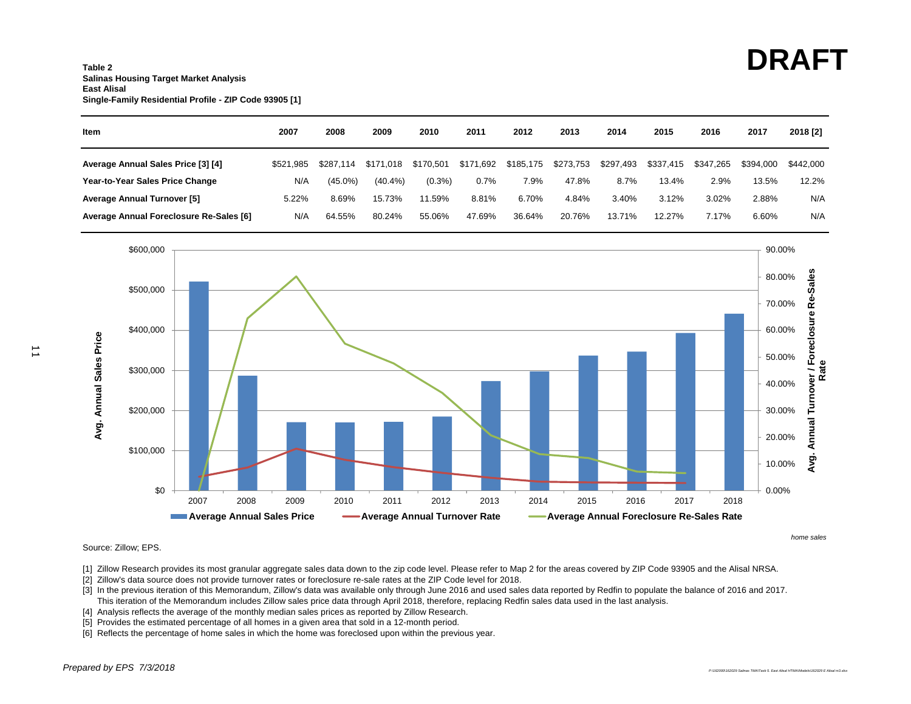#### **Table 2Salinas Housing Target Market Analysis East AlisalSingle-Family Residential Profile - ZIP Code 93905 [1]**

| ltem                                    | 2007      | 2008       | 2009       | 2010      | 2011      | 2012      | 2013      | 2014      | 2015      | 2016      | 2017      | 2018 [2]  |
|-----------------------------------------|-----------|------------|------------|-----------|-----------|-----------|-----------|-----------|-----------|-----------|-----------|-----------|
| Average Annual Sales Price [3] [4]      | \$521.985 | \$287.114  | \$171.018  | \$170.501 | \$171,692 | \$185,175 | \$273,753 | \$297,493 | \$337,415 | \$347,265 | \$394,000 | \$442.000 |
| Year-to-Year Sales Price Change         | N/A       | $(45.0\%)$ | $(40.4\%)$ | $(0.3\%)$ | 0.7%      | 7.9%      | 47.8%     | 8.7%      | 13.4%     | 2.9%      | 13.5%     | 12.2%     |
| <b>Average Annual Turnover [5]</b>      | 5.22%     | 8.69%      | 15.73%     | 11.59%    | 8.81%     | 6.70%     | 4.84%     | 3.40%     | 3.12%     | 3.02%     | 2.88%     | N/A       |
| Average Annual Foreclosure Re-Sales [6] | N/A       | 64.55%     | 80.24%     | 55.06%    | 47.69%    | 36.64%    | 20.76%    | 13.71%    | 12.27%    | 7.17%     | 6.60%     | N/A       |



Source: Zillow; EPS.

- [1] Zillow Research provides its most granular aggregate sales data down to the zip code level. Please refer to Map 2 for the areas covered by ZIP Code 93905 and the Alisal NRSA.
- [2] Zillow's data source does not provide turnover rates or foreclosure re-sale rates at the ZIP Code level for 2018.
- [3] In the previous iteration of this Memorandum, Zillow's data was available only through June 2016 and used sales data reported by Redfin to populate the balance of 2016 and 2017. This iteration of the Memorandum includes Zillow sales price data through April 2018, therefore, replacing Redfin sales data used in the last analysis.
- [4] Analysis reflects the average of the monthly median sales prices as reported by Zillow Research.
- [5] Provides the estimated percentage of all homes in a given area that sold in a 12-month period.
- [6] Reflects the percentage of home sales in which the home was foreclosed upon within the previous year.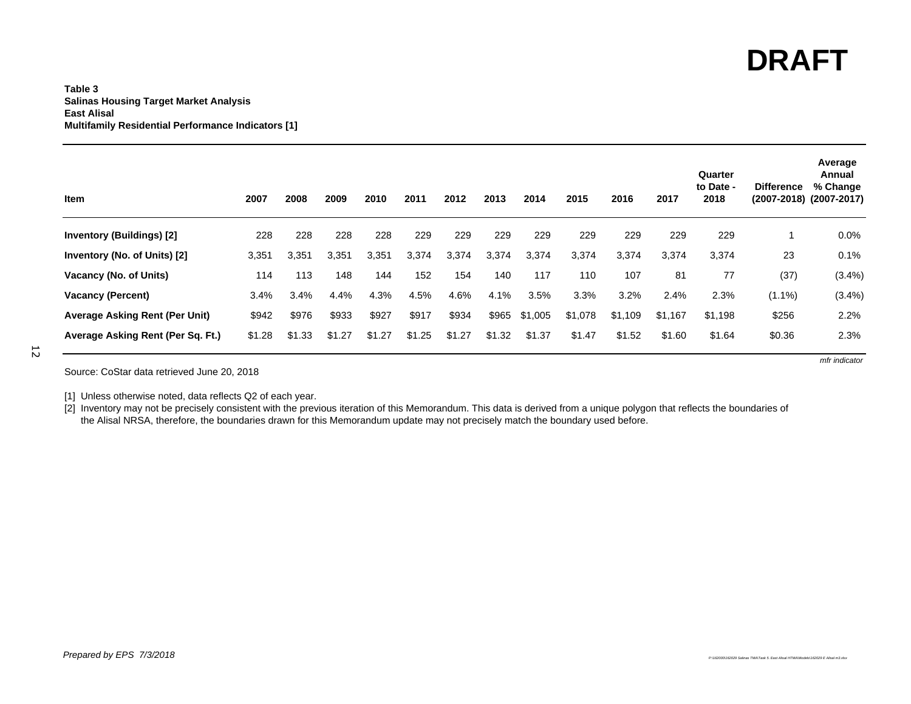*mfr indicator*

#### **Table 3Salinas Housing Target Market Analysis East Alisal Multifamily Residential Performance Indicators [1]**

| <b>Item</b>                       | 2007   | 2008   | 2009   | 2010   | 2011   | 2012   | 2013   | 2014    | 2015    | 2016    | 2017    | Quarter<br>to Date -<br>2018 | <b>Difference</b> | Average<br>Annual<br>% Change<br>(2007-2018) (2007-2017) |
|-----------------------------------|--------|--------|--------|--------|--------|--------|--------|---------|---------|---------|---------|------------------------------|-------------------|----------------------------------------------------------|
| <b>Inventory (Buildings) [2]</b>  | 228    | 228    | 228    | 228    | 229    | 229    | 229    | 229     | 229     | 229     | 229     | 229                          |                   | $0.0\%$                                                  |
| Inventory (No. of Units) [2]      | 3,351  | 3,351  | 3,351  | 3,351  | 3,374  | 3,374  | 3,374  | 3,374   | 3,374   | 3,374   | 3,374   | 3,374                        | 23                | 0.1%                                                     |
| Vacancy (No. of Units)            | 114    | 113    | 148    | 144    | 152    | 154    | 140    | 117     | 110     | 107     | 81      | 77                           | (37)              | (3.4%)                                                   |
| <b>Vacancy (Percent)</b>          | 3.4%   | 3.4%   | 4.4%   | 4.3%   | 4.5%   | 4.6%   | 4.1%   | 3.5%    | 3.3%    | 3.2%    | 2.4%    | 2.3%                         | $(1.1\%)$         | $(3.4\%)$                                                |
| Average Asking Rent (Per Unit)    | \$942  | \$976  | \$933  | \$927  | \$917  | \$934  | \$965  | \$1,005 | \$1,078 | \$1,109 | \$1,167 | \$1,198                      | \$256             | 2.2%                                                     |
| Average Asking Rent (Per Sq. Ft.) | \$1.28 | \$1.33 | \$1.27 | \$1.27 | \$1.25 | \$1.27 | \$1.32 | \$1.37  | \$1.47  | \$1.52  | \$1.60  | \$1.64                       | \$0.36            | 2.3%                                                     |

12

Source: CoStar data retrieved June 20, 2018

[1] Unless otherwise noted, data reflects Q2 of each year.

[2] Inventory may not be precisely consistent with the previous iteration of this Memorandum. This data is derived from a unique polygon that reflects the boundaries of the Alisal NRSA, therefore, the boundaries drawn for this Memorandum update may not precisely match the boundary used before.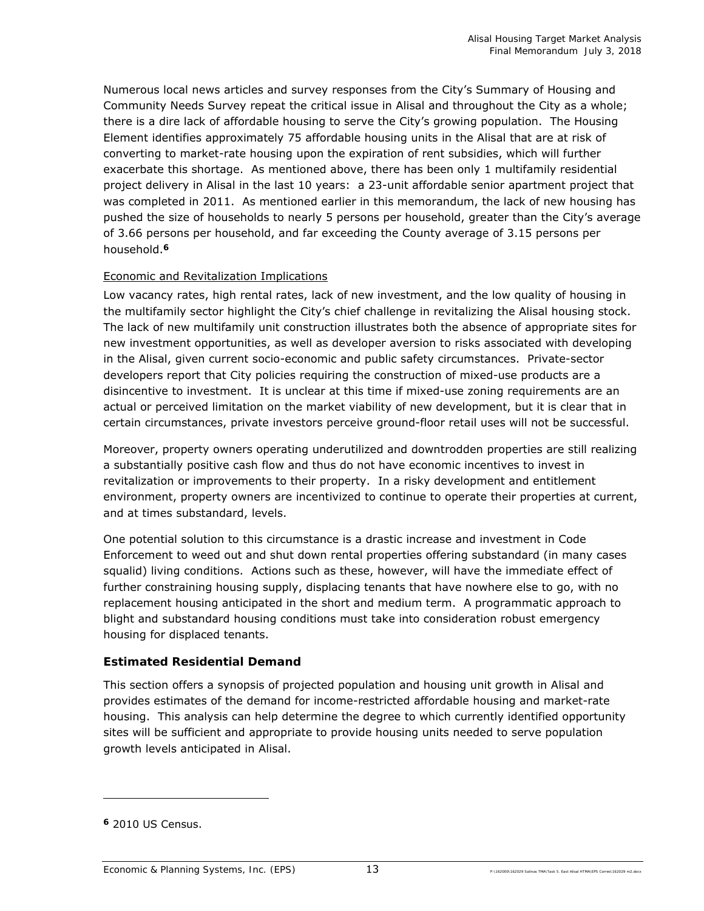Numerous local news articles and survey responses from the City's Summary of Housing and Community Needs Survey repeat the critical issue in Alisal and throughout the City as a whole; there is a dire lack of affordable housing to serve the City's growing population. The Housing Element identifies approximately 75 affordable housing units in the Alisal that are at risk of converting to market-rate housing upon the expiration of rent subsidies, which will further exacerbate this shortage. As mentioned above, there has been only 1 multifamily residential project delivery in Alisal in the last 10 years: a 23-unit affordable senior apartment project that was completed in 2011. As mentioned earlier in this memorandum, the lack of new housing has pushed the size of households to nearly 5 persons per household, greater than the City's average of 3.66 persons per household, and far exceeding the County average of 3.15 persons per household.**<sup>6</sup>**

## Economic and Revitalization Implications

Low vacancy rates, high rental rates, lack of new investment, and the low quality of housing in the multifamily sector highlight the City's chief challenge in revitalizing the Alisal housing stock. The lack of new multifamily unit construction illustrates both the absence of appropriate sites for new investment opportunities, as well as developer aversion to risks associated with developing in the Alisal, given current socio-economic and public safety circumstances. Private-sector developers report that City policies requiring the construction of mixed-use products are a disincentive to investment. It is unclear at this time if mixed-use zoning requirements are an actual or perceived limitation on the market viability of new development, but it is clear that in certain circumstances, private investors perceive ground-floor retail uses will not be successful.

Moreover, property owners operating underutilized and downtrodden properties are still realizing a substantially positive cash flow and thus do not have economic incentives to invest in revitalization or improvements to their property. In a risky development and entitlement environment, property owners are incentivized to continue to operate their properties at current, and at times substandard, levels.

One potential solution to this circumstance is a drastic increase and investment in Code Enforcement to weed out and shut down rental properties offering substandard (in many cases squalid) living conditions. Actions such as these, however, will have the immediate effect of further constraining housing supply, displacing tenants that have nowhere else to go, with no replacement housing anticipated in the short and medium term. A programmatic approach to blight and substandard housing conditions must take into consideration robust emergency housing for displaced tenants.

## **Estimated Residential Demand**

This section offers a synopsis of projected population and housing unit growth in Alisal and provides estimates of the demand for income-restricted affordable housing and market-rate housing. This analysis can help determine the degree to which currently identified opportunity sites will be sufficient and appropriate to provide housing units needed to serve population growth levels anticipated in Alisal.

-

**<sup>6</sup>** 2010 US Census.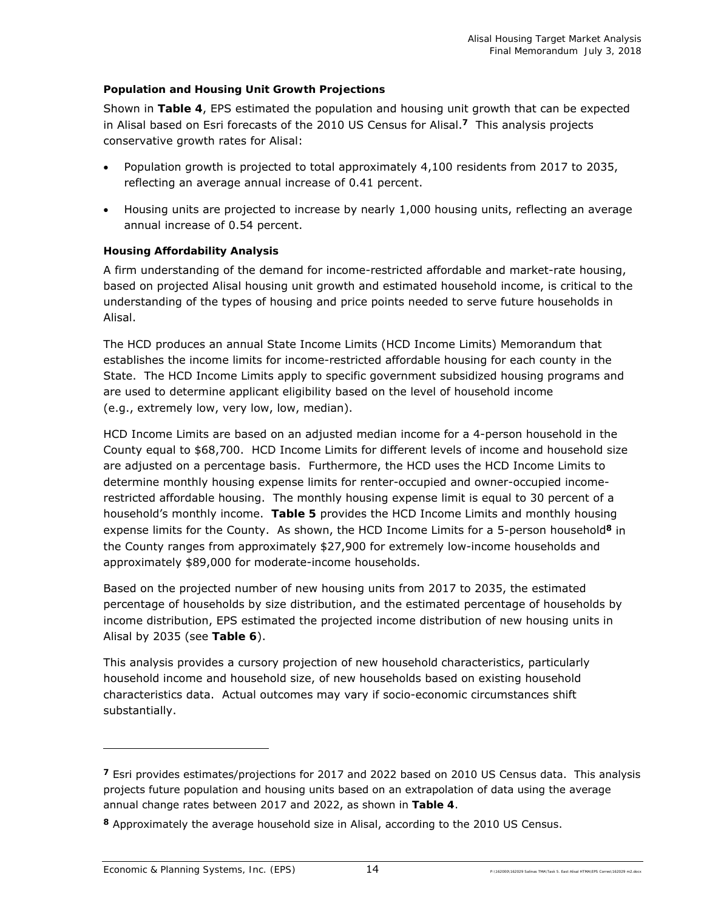## *Population and Housing Unit Growth Projections*

Shown in **Table 4**, EPS estimated the population and housing unit growth that can be expected in Alisal based on Esri forecasts of the 2010 US Census for Alisal.**7** This analysis projects conservative growth rates for Alisal:

- Population growth is projected to total approximately 4,100 residents from 2017 to 2035, reflecting an average annual increase of 0.41 percent.
- Housing units are projected to increase by nearly 1,000 housing units, reflecting an average annual increase of 0.54 percent.

## *Housing Affordability Analysis*

A firm understanding of the demand for income-restricted affordable and market-rate housing, based on projected Alisal housing unit growth and estimated household income, is critical to the understanding of the types of housing and price points needed to serve future households in Alisal.

The HCD produces an annual State Income Limits (HCD Income Limits) Memorandum that establishes the income limits for income-restricted affordable housing for each county in the State. The HCD Income Limits apply to specific government subsidized housing programs and are used to determine applicant eligibility based on the level of household income (e.g., extremely low, very low, low, median).

HCD Income Limits are based on an adjusted median income for a 4-person household in the County equal to \$68,700. HCD Income Limits for different levels of income and household size are adjusted on a percentage basis. Furthermore, the HCD uses the HCD Income Limits to determine monthly housing expense limits for renter-occupied and owner-occupied incomerestricted affordable housing. The monthly housing expense limit is equal to 30 percent of a household's monthly income. **Table 5** provides the HCD Income Limits and monthly housing expense limits for the County. As shown, the HCD Income Limits for a 5-person household**8** in the County ranges from approximately \$27,900 for extremely low-income households and approximately \$89,000 for moderate-income households.

Based on the projected number of new housing units from 2017 to 2035, the estimated percentage of households by size distribution, and the estimated percentage of households by income distribution, EPS estimated the projected income distribution of new housing units in Alisal by 2035 (see **Table 6**).

This analysis provides a cursory projection of new household characteristics, particularly household income and household size, of new households based on existing household characteristics data. Actual outcomes may vary if socio-economic circumstances shift substantially.

-

**<sup>7</sup>** Esri provides estimates/projections for 2017 and 2022 based on 2010 US Census data. This analysis projects future population and housing units based on an extrapolation of data using the average annual change rates between 2017 and 2022, as shown in **Table 4**.

**<sup>8</sup>** Approximately the average household size in Alisal, according to the 2010 US Census.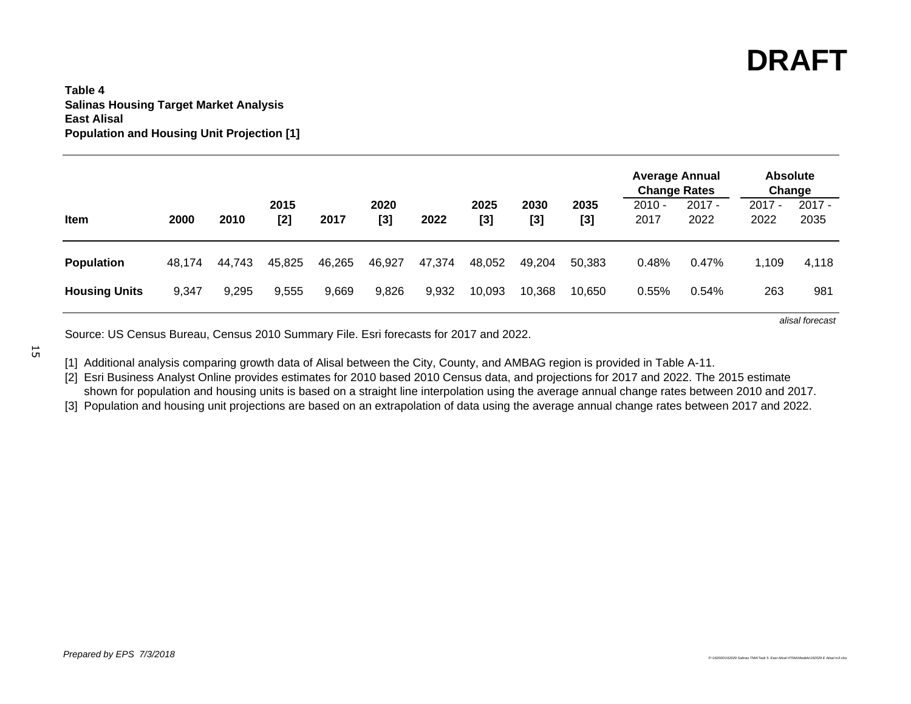*alisal forecast*

### **Table 4Salinas Housing Target Market Analysis East AlisalPopulation and Housing Unit Projection [1]**

|                      |        |        |             |        |               |        |               |               |               | <b>Average Annual</b><br><b>Change Rates</b> |                  | <b>Absolute</b><br>Change |                  |
|----------------------|--------|--------|-------------|--------|---------------|--------|---------------|---------------|---------------|----------------------------------------------|------------------|---------------------------|------------------|
| Item                 | 2000   | 2010   | 2015<br>[2] | 2017   | 2020<br>$[3]$ | 2022   | 2025<br>$[3]$ | 2030<br>$[3]$ | 2035<br>$[3]$ | $2010 -$<br>2017                             | $2017 -$<br>2022 | $2017 -$<br>2022          | $2017 -$<br>2035 |
| <b>Population</b>    | 48.174 | 44.743 | 45,825      | 46,265 | 46,927        | 47,374 | 48,052        | 49,204        | 50,383        | 0.48%                                        | 0.47%            | 1,109                     | 4,118            |
| <b>Housing Units</b> | 9,347  | 9,295  | 9,555       | 9,669  | 9,826         | 9,932  | 10,093        | 10,368        | 10,650        | 0.55%                                        | 0.54%            | 263                       | 981              |

Source: US Census Bureau, Census 2010 Summary File. Esri forecasts for 2017 and 2022.

[1] Additional analysis comparing growth data of Alisal between the City, County, and AMBAG region is provided in Table A-11.

[2] Esri Business Analyst Online provides estimates for 2010 based 2010 Census data, and projections for 2017 and 2022. The 2015 estimate

shown for population and housing units is based on a straight line interpolation using the average annual change rates between 2010 and 2017.

[3] Population and housing unit projections are based on an extrapolation of data using the average annual change rates between 2017 and 2022.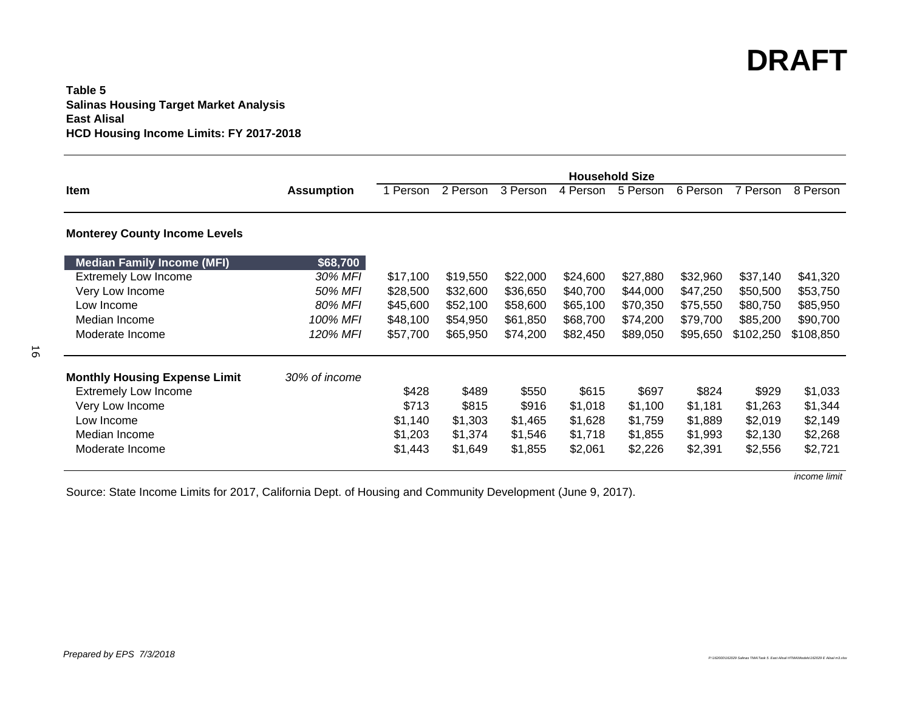## **Table 5Salinas Housing Target Market Analysis East Alisal HCD Housing Income Limits: FY 2017-2018**

|                                      |                   | <b>Household Size</b> |          |          |          |          |          |           |           |
|--------------------------------------|-------------------|-----------------------|----------|----------|----------|----------|----------|-----------|-----------|
| Item                                 | <b>Assumption</b> | 1 Person              | 2 Person | 3 Person | 4 Person | 5 Person | 6 Person | 7 Person  | 8 Person  |
| <b>Monterey County Income Levels</b> |                   |                       |          |          |          |          |          |           |           |
| <b>Median Family Income (MFI)</b>    | \$68,700          |                       |          |          |          |          |          |           |           |
| <b>Extremely Low Income</b>          | 30% MFI           | \$17,100              | \$19,550 | \$22,000 | \$24,600 | \$27,880 | \$32,960 | \$37,140  | \$41,320  |
| Very Low Income                      | 50% MFI           | \$28,500              | \$32,600 | \$36,650 | \$40,700 | \$44,000 | \$47,250 | \$50,500  | \$53,750  |
| Low Income                           | 80% MFI           | \$45,600              | \$52,100 | \$58,600 | \$65,100 | \$70,350 | \$75,550 | \$80,750  | \$85,950  |
| Median Income                        | 100% MFI          | \$48,100              | \$54,950 | \$61,850 | \$68,700 | \$74,200 | \$79,700 | \$85,200  | \$90,700  |
| Moderate Income                      | 120% MFI          | \$57,700              | \$65,950 | \$74,200 | \$82,450 | \$89,050 | \$95,650 | \$102,250 | \$108,850 |
| <b>Monthly Housing Expense Limit</b> | 30% of income     |                       |          |          |          |          |          |           |           |
| <b>Extremely Low Income</b>          |                   | \$428                 | \$489    | \$550    | \$615    | \$697    | \$824    | \$929     | \$1,033   |
| Very Low Income                      |                   | \$713                 | \$815    | \$916    | \$1,018  | \$1,100  | \$1,181  | \$1,263   | \$1,344   |
| Low Income                           |                   | \$1,140               | \$1,303  | \$1,465  | \$1,628  | \$1,759  | \$1,889  | \$2,019   | \$2,149   |
| Median Income                        |                   | \$1,203               | \$1,374  | \$1,546  | \$1,718  | \$1,855  | \$1,993  | \$2,130   | \$2,268   |
| Moderate Income                      |                   | \$1,443               | \$1,649  | \$1,855  | \$2,061  | \$2,226  | \$2,391  | \$2,556   | \$2,721   |

Source: State Income Limits for 2017, California Dept. of Housing and Community Development (June 9, 2017).

*income limit*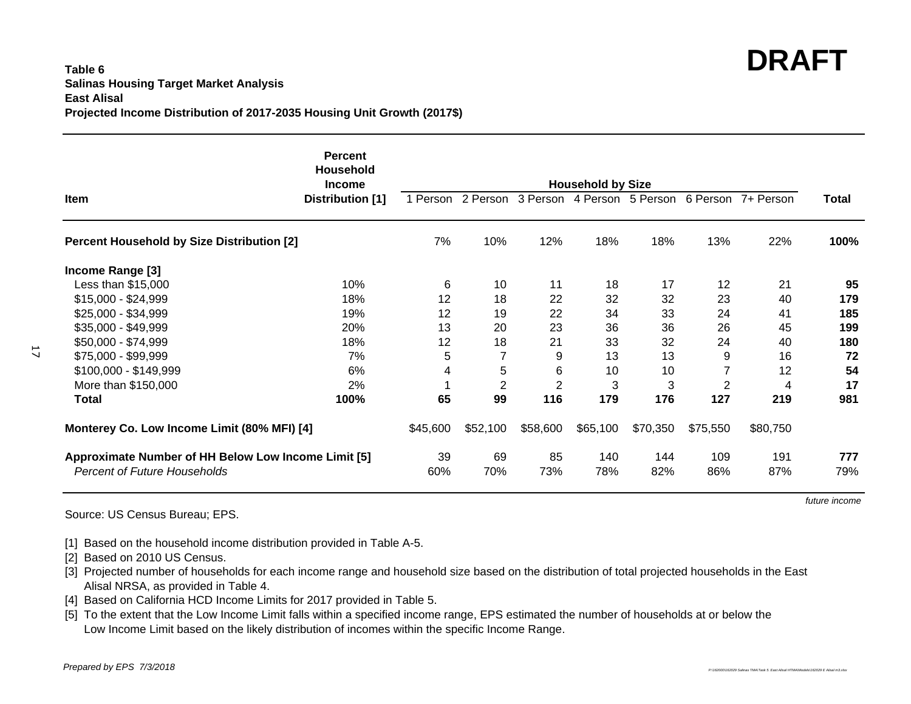#### **Table 6Salinas Housing Target Market Analysis East AlisalProjected Income Distribution of 2017-2035 Housing Unit Growth (2017\$)**

|                                                     | <b>Percent</b><br><b>Household</b><br><b>Income</b> | <b>Household by Size</b> |                |                |                   |          |                |                    |              |
|-----------------------------------------------------|-----------------------------------------------------|--------------------------|----------------|----------------|-------------------|----------|----------------|--------------------|--------------|
| Item                                                | <b>Distribution</b> [1]                             | 1 Person                 | 2 Person       |                | 3 Person 4 Person | 5 Person |                | 6 Person 7+ Person | <b>Total</b> |
| <b>Percent Household by Size Distribution [2]</b>   |                                                     | 7%                       | 10%            | 12%            | 18%               | 18%      | 13%            | 22%                | 100%         |
| Income Range [3]                                    |                                                     |                          |                |                |                   |          |                |                    |              |
| Less than \$15,000                                  | 10%                                                 | 6                        | 10             | 11             | 18                | 17       | 12             | 21                 | 95           |
| $$15,000 - $24,999$                                 | 18%                                                 | 12                       | 18             | 22             | 32                | 32       | 23             | 40                 | 179          |
| \$25,000 - \$34,999                                 | 19%                                                 | 12                       | 19             | 22             | 34                | 33       | 24             | 41                 | 185          |
| \$35,000 - \$49,999                                 | 20%                                                 | 13                       | 20             | 23             | 36                | 36       | 26             | 45                 | 199          |
| \$50,000 - \$74,999                                 | 18%                                                 | 12                       | 18             | 21             | 33                | 32       | 24             | 40                 | 180          |
| \$75,000 - \$99,999                                 | 7%                                                  | 5                        | 7              | 9              | 13                | 13       | 9              | 16                 | 72           |
| \$100,000 - \$149,999                               | 6%                                                  | 4                        | 5              | 6              | 10                | 10       |                | 12                 | 54           |
| More than \$150,000                                 | 2%                                                  |                          | $\overline{2}$ | $\overline{2}$ | 3                 | 3        | $\overline{2}$ | 4                  | 17           |
| Total                                               | 100%                                                | 65                       | 99             | 116            | 179               | 176      | 127            | 219                | 981          |
| Monterey Co. Low Income Limit (80% MFI) [4]         |                                                     | \$45,600                 | \$52,100       | \$58,600       | \$65,100          | \$70,350 | \$75,550       | \$80,750           |              |
| Approximate Number of HH Below Low Income Limit [5] |                                                     | 39                       | 69             | 85             | 140               | 144      | 109            | 191                | 777          |
| <b>Percent of Future Households</b>                 |                                                     | 60%                      | 70%            | 73%            | 78%               | 82%      | 86%            | 87%                | 79%          |

Source: US Census Bureau; EPS.

*future income*

[1] Based on the household income distribution provided in Table A-5.

[2] Based on 2010 US Census.

[3] Projected number of households for each income range and household size based on the distribution of total projected households in the East Alisal NRSA, as provided in Table 4.

[4] Based on California HCD Income Limits for 2017 provided in Table 5.

[5] To the extent that the Low Income Limit falls within a specified income range, EPS estimated the number of households at or below the Low Income Limit based on the likely distribution of incomes within the specific Income Range.

 $17$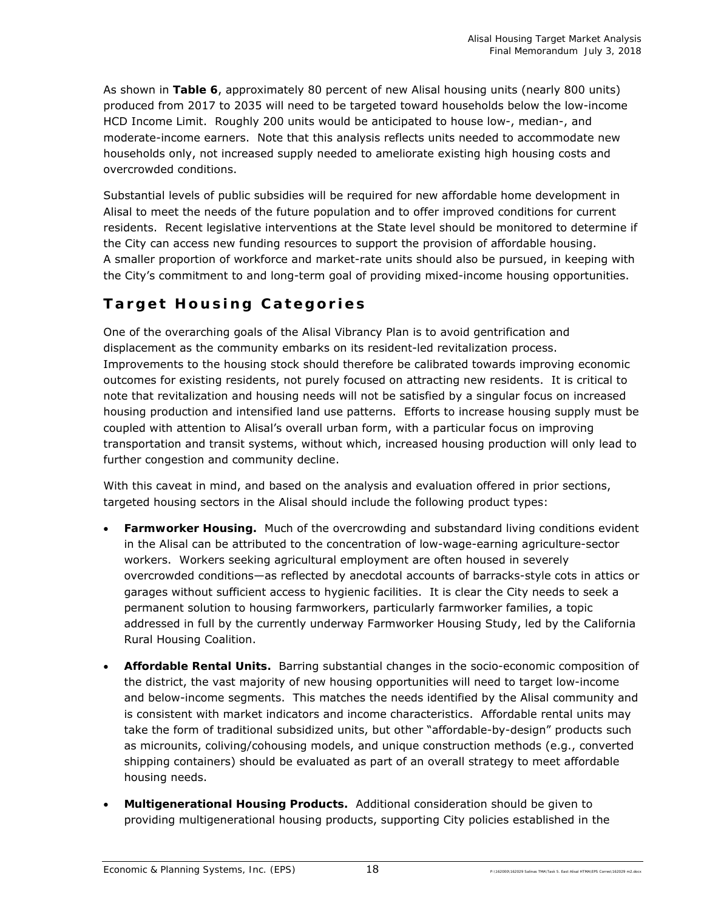As shown in **Table 6**, approximately 80 percent of new Alisal housing units (nearly 800 units) produced from 2017 to 2035 will need to be targeted toward households below the low-income HCD Income Limit. Roughly 200 units would be anticipated to house low-, median-, and moderate-income earners. Note that this analysis reflects units needed to accommodate new households only, not increased supply needed to ameliorate existing high housing costs and overcrowded conditions.

Substantial levels of public subsidies will be required for new affordable home development in Alisal to meet the needs of the future population and to offer improved conditions for current residents. Recent legislative interventions at the State level should be monitored to determine if the City can access new funding resources to support the provision of affordable housing. A smaller proportion of workforce and market-rate units should also be pursued, in keeping with the City's commitment to and long-term goal of providing mixed-income housing opportunities.

## **Target Housing Categories**

One of the overarching goals of the Alisal Vibrancy Plan is to avoid gentrification and displacement as the community embarks on its resident-led revitalization process. Improvements to the housing stock should therefore be calibrated towards improving economic outcomes for existing residents, not purely focused on attracting new residents. It is critical to note that revitalization and housing needs will not be satisfied by a singular focus on increased housing production and intensified land use patterns. Efforts to increase housing supply must be coupled with attention to Alisal's overall urban form, with a particular focus on improving transportation and transit systems, without which, increased housing production will only lead to further congestion and community decline.

With this caveat in mind, and based on the analysis and evaluation offered in prior sections, targeted housing sectors in the Alisal should include the following product types:

- **Farmworker Housing.** Much of the overcrowding and substandard living conditions evident in the Alisal can be attributed to the concentration of low-wage-earning agriculture-sector workers. Workers seeking agricultural employment are often housed in severely overcrowded conditions—as reflected by anecdotal accounts of barracks-style cots in attics or garages without sufficient access to hygienic facilities. It is clear the City needs to seek a permanent solution to housing farmworkers, particularly farmworker families, a topic addressed in full by the currently underway Farmworker Housing Study, led by the California Rural Housing Coalition.
- **Affordable Rental Units.** Barring substantial changes in the socio-economic composition of the district, the vast majority of new housing opportunities will need to target low-income and below-income segments. This matches the needs identified by the Alisal community and is consistent with market indicators and income characteristics. Affordable rental units may take the form of traditional subsidized units, but other "affordable-by-design" products such as microunits, coliving/cohousing models, and unique construction methods (e.g., converted shipping containers) should be evaluated as part of an overall strategy to meet affordable housing needs.
- **Multigenerational Housing Products.** Additional consideration should be given to providing multigenerational housing products, supporting City policies established in the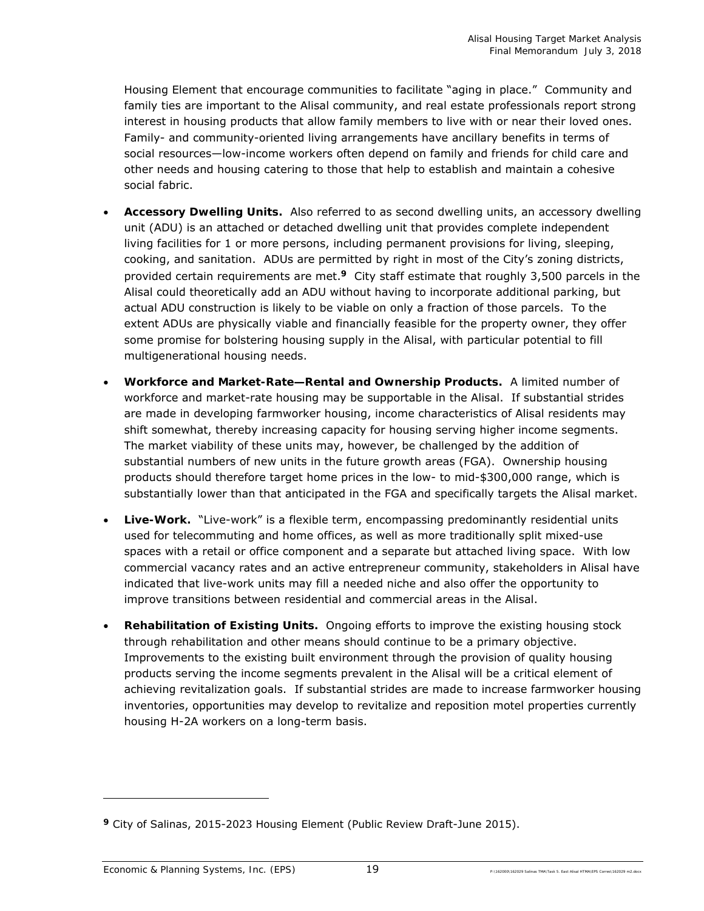Housing Element that encourage communities to facilitate "aging in place." Community and family ties are important to the Alisal community, and real estate professionals report strong interest in housing products that allow family members to live with or near their loved ones. Family- and community-oriented living arrangements have ancillary benefits in terms of social resources—low-income workers often depend on family and friends for child care and other needs and housing catering to those that help to establish and maintain a cohesive social fabric.

- **Accessory Dwelling Units.** Also referred to as second dwelling units, an accessory dwelling unit (ADU) is an attached or detached dwelling unit that provides complete independent living facilities for 1 or more persons, including permanent provisions for living, sleeping, cooking, and sanitation. ADUs are permitted by right in most of the City's zoning districts, provided certain requirements are met.**9** City staff estimate that roughly 3,500 parcels in the Alisal could theoretically add an ADU without having to incorporate additional parking, but actual ADU construction is likely to be viable on only a fraction of those parcels. To the extent ADUs are physically viable and financially feasible for the property owner, they offer some promise for bolstering housing supply in the Alisal, with particular potential to fill multigenerational housing needs.
- **Workforce and Market-Rate—Rental and Ownership Products.** A limited number of workforce and market-rate housing may be supportable in the Alisal. If substantial strides are made in developing farmworker housing, income characteristics of Alisal residents may shift somewhat, thereby increasing capacity for housing serving higher income segments. The market viability of these units may, however, be challenged by the addition of substantial numbers of new units in the future growth areas (FGA). Ownership housing products should therefore target home prices in the low- to mid-\$300,000 range, which is substantially lower than that anticipated in the FGA and specifically targets the Alisal market.
- **Live-Work.** "Live-work" is a flexible term, encompassing predominantly residential units used for telecommuting and home offices, as well as more traditionally split mixed-use spaces with a retail or office component and a separate but attached living space. With low commercial vacancy rates and an active entrepreneur community, stakeholders in Alisal have indicated that live-work units may fill a needed niche and also offer the opportunity to improve transitions between residential and commercial areas in the Alisal.
- **Rehabilitation of Existing Units.** Ongoing efforts to improve the existing housing stock through rehabilitation and other means should continue to be a primary objective. Improvements to the existing built environment through the provision of quality housing products serving the income segments prevalent in the Alisal will be a critical element of achieving revitalization goals. If substantial strides are made to increase farmworker housing inventories, opportunities may develop to revitalize and reposition motel properties currently housing H-2A workers on a long-term basis.

-

**<sup>9</sup>** City of Salinas, 2015-2023 Housing Element (Public Review Draft-June 2015).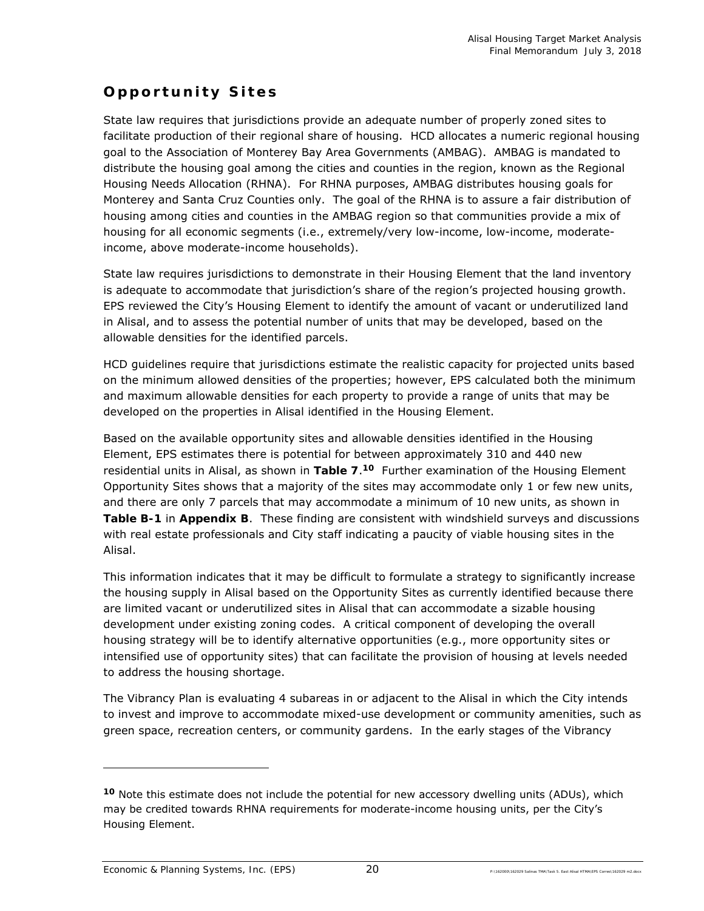## **Opportunity Sites**

State law requires that jurisdictions provide an adequate number of properly zoned sites to facilitate production of their regional share of housing. HCD allocates a numeric regional housing goal to the Association of Monterey Bay Area Governments (AMBAG). AMBAG is mandated to distribute the housing goal among the cities and counties in the region, known as the Regional Housing Needs Allocation (RHNA). For RHNA purposes, AMBAG distributes housing goals for Monterey and Santa Cruz Counties only. The goal of the RHNA is to assure a fair distribution of housing among cities and counties in the AMBAG region so that communities provide a mix of housing for all economic segments (i.e., extremely/very low-income, low-income, moderateincome, above moderate-income households).

State law requires jurisdictions to demonstrate in their Housing Element that the land inventory is adequate to accommodate that jurisdiction's share of the region's projected housing growth. EPS reviewed the City's Housing Element to identify the amount of vacant or underutilized land in Alisal, and to assess the potential number of units that may be developed, based on the allowable densities for the identified parcels.

HCD guidelines require that jurisdictions estimate the realistic capacity for projected units based on the minimum allowed densities of the properties; however, EPS calculated both the minimum and maximum allowable densities for each property to provide a range of units that may be developed on the properties in Alisal identified in the Housing Element.

Based on the available opportunity sites and allowable densities identified in the Housing Element, EPS estimates there is potential for between approximately 310 and 440 new residential units in Alisal, as shown in **Table 7**.**10** Further examination of the Housing Element Opportunity Sites shows that a majority of the sites may accommodate only 1 or few new units, and there are only 7 parcels that may accommodate a minimum of 10 new units, as shown in **Table B-1** in **Appendix B**. These finding are consistent with windshield surveys and discussions with real estate professionals and City staff indicating a paucity of viable housing sites in the Alisal.

This information indicates that it may be difficult to formulate a strategy to significantly increase the housing supply in Alisal based on the Opportunity Sites as currently identified because there are limited vacant or underutilized sites in Alisal that can accommodate a sizable housing development under existing zoning codes. A critical component of developing the overall housing strategy will be to identify alternative opportunities (e.g., more opportunity sites or intensified use of opportunity sites) that can facilitate the provision of housing at levels needed to address the housing shortage.

The Vibrancy Plan is evaluating 4 subareas in or adjacent to the Alisal in which the City intends to invest and improve to accommodate mixed-use development or community amenities, such as green space, recreation centers, or community gardens. In the early stages of the Vibrancy

-

**<sup>10</sup>** Note this estimate does not include the potential for new accessory dwelling units (ADUs), which may be credited towards RHNA requirements for moderate-income housing units, per the City's Housing Element.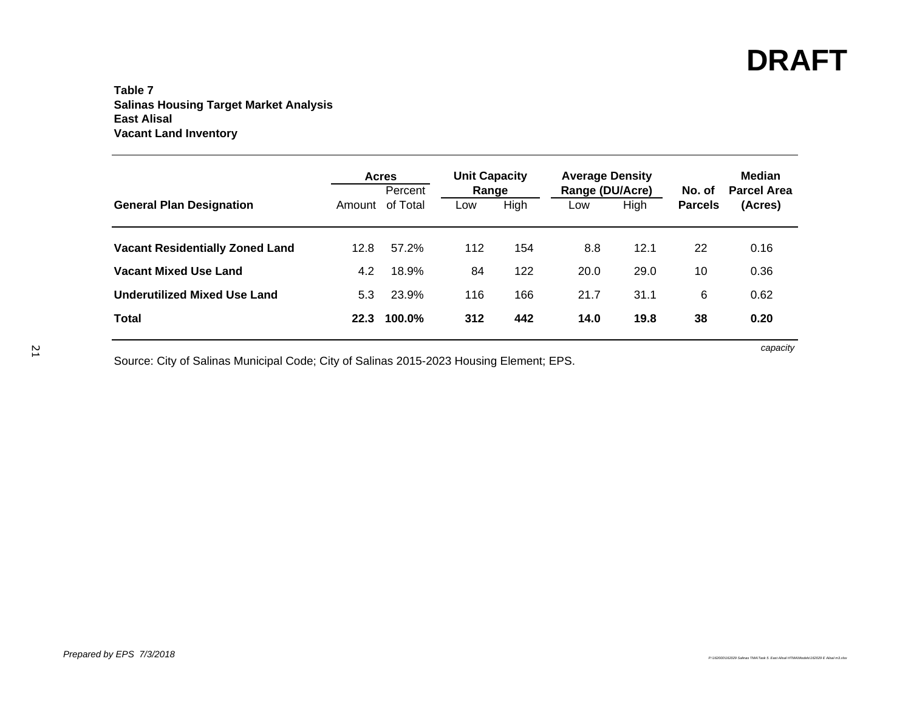### **Table 7 Salinas Housing Target Market Analysis East Alisal Vacant Land Inventory**

|                                        |      | <b>Acres</b><br>Percent | <b>Unit Capacity</b><br>Range |      | <b>Average Density</b><br>Range (DU/Acre) |      | No. of         | <b>Median</b><br><b>Parcel Area</b> |
|----------------------------------------|------|-------------------------|-------------------------------|------|-------------------------------------------|------|----------------|-------------------------------------|
| <b>General Plan Designation</b>        |      | Amount of Total         | Low                           | High | Low                                       | High | <b>Parcels</b> | (Acres)                             |
| <b>Vacant Residentially Zoned Land</b> | 12.8 | 57.2%                   | 112                           | 154  | 8.8                                       | 12.1 | 22             | 0.16                                |
| <b>Vacant Mixed Use Land</b>           | 4.2  | 18.9%                   | 84                            | 122  | 20.0                                      | 29.0 | 10             | 0.36                                |
| <b>Underutilized Mixed Use Land</b>    | 5.3  | 23.9%                   | 116                           | 166  | 21.7                                      | 31.1 | 6              | 0.62                                |
| <b>Total</b>                           | 22.3 | 100.0%                  | 312                           | 442  | 14.0                                      | 19.8 | 38             | 0.20                                |

Source: City of Salinas Municipal Code; City of Salinas 2015-2023 Housing Element; EPS.

*capacity*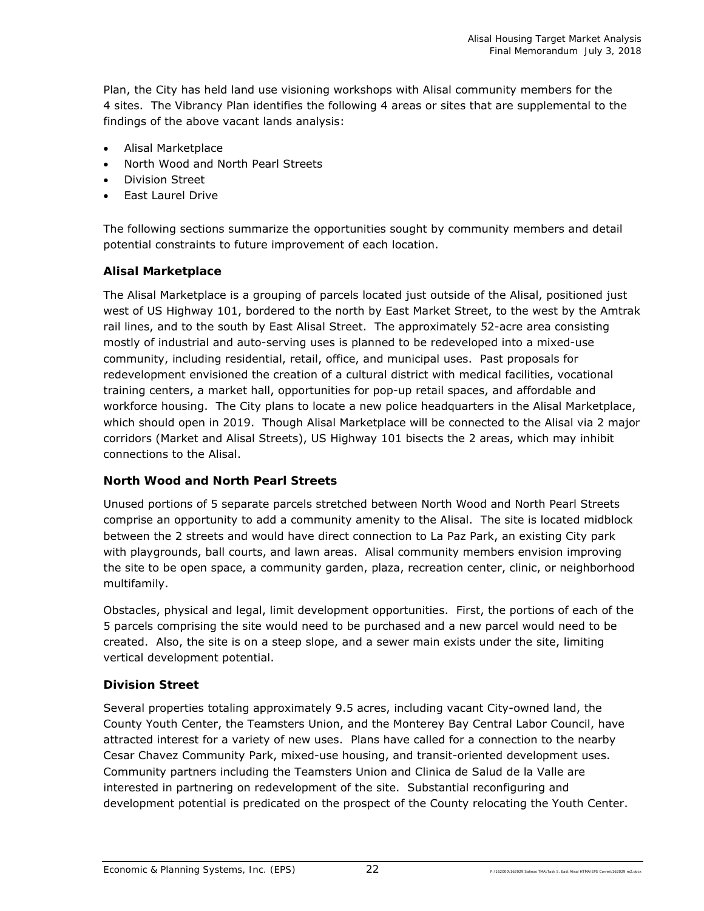Plan, the City has held land use visioning workshops with Alisal community members for the 4 sites. The Vibrancy Plan identifies the following 4 areas or sites that are supplemental to the findings of the above vacant lands analysis:

- Alisal Marketplace
- North Wood and North Pearl Streets
- **•** Division Street
- East Laurel Drive

The following sections summarize the opportunities sought by community members and detail potential constraints to future improvement of each location.

## **Alisal Marketplace**

The Alisal Marketplace is a grouping of parcels located just outside of the Alisal, positioned just west of US Highway 101, bordered to the north by East Market Street, to the west by the Amtrak rail lines, and to the south by East Alisal Street. The approximately 52-acre area consisting mostly of industrial and auto-serving uses is planned to be redeveloped into a mixed-use community, including residential, retail, office, and municipal uses. Past proposals for redevelopment envisioned the creation of a cultural district with medical facilities, vocational training centers, a market hall, opportunities for pop-up retail spaces, and affordable and workforce housing. The City plans to locate a new police headquarters in the Alisal Marketplace, which should open in 2019. Though Alisal Marketplace will be connected to the Alisal via 2 major corridors (Market and Alisal Streets), US Highway 101 bisects the 2 areas, which may inhibit connections to the Alisal.

### **North Wood and North Pearl Streets**

Unused portions of 5 separate parcels stretched between North Wood and North Pearl Streets comprise an opportunity to add a community amenity to the Alisal. The site is located midblock between the 2 streets and would have direct connection to La Paz Park, an existing City park with playgrounds, ball courts, and lawn areas. Alisal community members envision improving the site to be open space, a community garden, plaza, recreation center, clinic, or neighborhood multifamily.

Obstacles, physical and legal, limit development opportunities. First, the portions of each of the 5 parcels comprising the site would need to be purchased and a new parcel would need to be created. Also, the site is on a steep slope, and a sewer main exists under the site, limiting vertical development potential.

### **Division Street**

Several properties totaling approximately 9.5 acres, including vacant City-owned land, the County Youth Center, the Teamsters Union, and the Monterey Bay Central Labor Council, have attracted interest for a variety of new uses. Plans have called for a connection to the nearby Cesar Chavez Community Park, mixed-use housing, and transit-oriented development uses. Community partners including the Teamsters Union and Clinica de Salud de la Valle are interested in partnering on redevelopment of the site. Substantial reconfiguring and development potential is predicated on the prospect of the County relocating the Youth Center.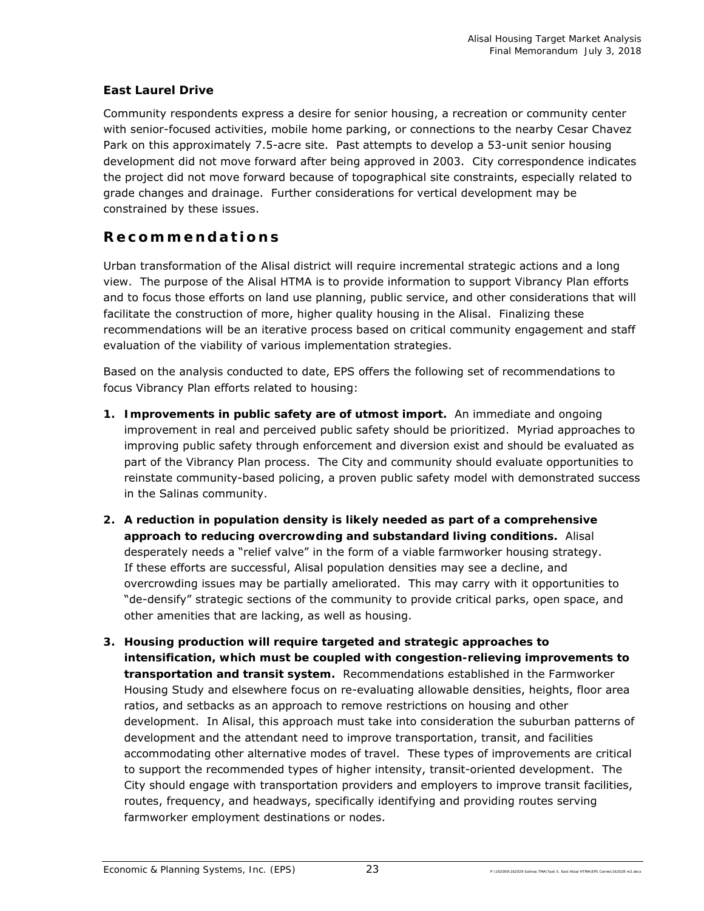## **East Laurel Drive**

Community respondents express a desire for senior housing, a recreation or community center with senior-focused activities, mobile home parking, or connections to the nearby Cesar Chavez Park on this approximately 7.5-acre site. Past attempts to develop a 53-unit senior housing development did not move forward after being approved in 2003. City correspondence indicates the project did not move forward because of topographical site constraints, especially related to grade changes and drainage. Further considerations for vertical development may be constrained by these issues.

## **Recommendations**

Urban transformation of the Alisal district will require incremental strategic actions and a long view. The purpose of the Alisal HTMA is to provide information to support Vibrancy Plan efforts and to focus those efforts on land use planning, public service, and other considerations that will facilitate the construction of more, higher quality housing in the Alisal. Finalizing these recommendations will be an iterative process based on critical community engagement and staff evaluation of the viability of various implementation strategies.

Based on the analysis conducted to date, EPS offers the following set of recommendations to focus Vibrancy Plan efforts related to housing:

- **1. Improvements in public safety are of utmost import.** An immediate and ongoing improvement in real and perceived public safety should be prioritized. Myriad approaches to improving public safety through enforcement and diversion exist and should be evaluated as part of the Vibrancy Plan process. The City and community should evaluate opportunities to reinstate community-based policing, a proven public safety model with demonstrated success in the Salinas community.
- **2. A reduction in population density is likely needed as part of a comprehensive approach to reducing overcrowding and substandard living conditions.** Alisal desperately needs a "relief valve" in the form of a viable farmworker housing strategy. If these efforts are successful, Alisal population densities may see a decline, and overcrowding issues may be partially ameliorated. This may carry with it opportunities to "de-densify" strategic sections of the community to provide critical parks, open space, and other amenities that are lacking, as well as housing.
- **3. Housing production will require targeted and strategic approaches to intensification, which must be coupled with congestion-relieving improvements to transportation and transit system.** Recommendations established in the Farmworker Housing Study and elsewhere focus on re-evaluating allowable densities, heights, floor area ratios, and setbacks as an approach to remove restrictions on housing and other development. In Alisal, this approach must take into consideration the suburban patterns of development and the attendant need to improve transportation, transit, and facilities accommodating other alternative modes of travel. These types of improvements are critical to support the recommended types of higher intensity, transit-oriented development. The City should engage with transportation providers and employers to improve transit facilities, routes, frequency, and headways, specifically identifying and providing routes serving farmworker employment destinations or nodes.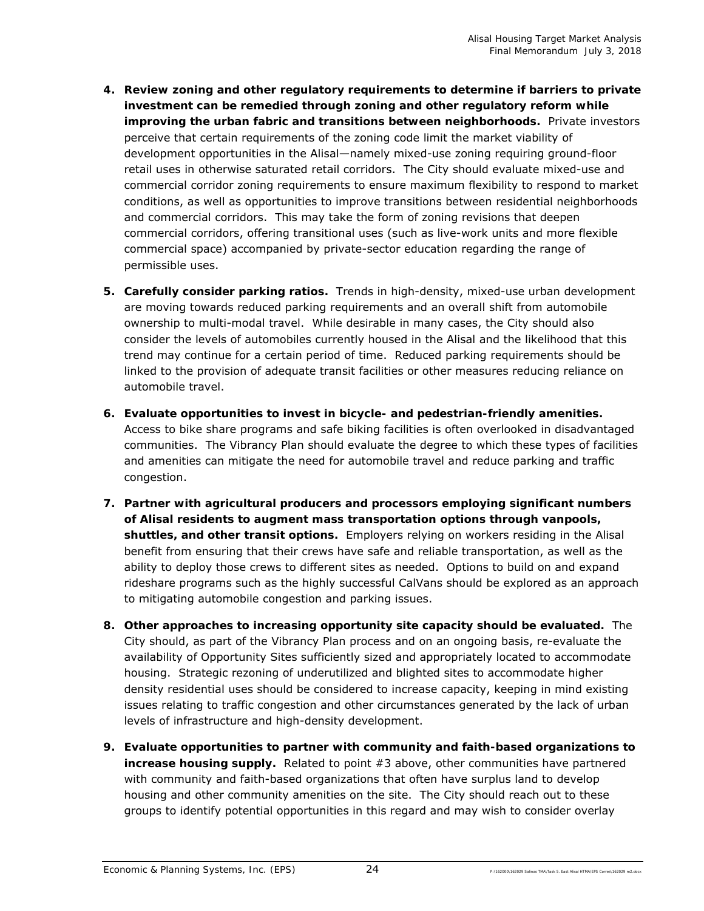- **4. Review zoning and other regulatory requirements to determine if barriers to private investment can be remedied through zoning and other regulatory reform while improving the urban fabric and transitions between neighborhoods.** Private investors perceive that certain requirements of the zoning code limit the market viability of development opportunities in the Alisal—namely mixed-use zoning requiring ground-floor retail uses in otherwise saturated retail corridors. The City should evaluate mixed-use and commercial corridor zoning requirements to ensure maximum flexibility to respond to market conditions, as well as opportunities to improve transitions between residential neighborhoods and commercial corridors. This may take the form of zoning revisions that deepen commercial corridors, offering transitional uses (such as live-work units and more flexible commercial space) accompanied by private-sector education regarding the range of permissible uses.
- **5. Carefully consider parking ratios.** Trends in high-density, mixed-use urban development are moving towards reduced parking requirements and an overall shift from automobile ownership to multi-modal travel. While desirable in many cases, the City should also consider the levels of automobiles currently housed in the Alisal and the likelihood that this trend may continue for a certain period of time. Reduced parking requirements should be linked to the provision of adequate transit facilities or other measures reducing reliance on automobile travel.
- **6. Evaluate opportunities to invest in bicycle- and pedestrian-friendly amenities.** Access to bike share programs and safe biking facilities is often overlooked in disadvantaged communities. The Vibrancy Plan should evaluate the degree to which these types of facilities and amenities can mitigate the need for automobile travel and reduce parking and traffic congestion.
- **7. Partner with agricultural producers and processors employing significant numbers of Alisal residents to augment mass transportation options through vanpools, shuttles, and other transit options.** Employers relying on workers residing in the Alisal benefit from ensuring that their crews have safe and reliable transportation, as well as the ability to deploy those crews to different sites as needed. Options to build on and expand rideshare programs such as the highly successful CalVans should be explored as an approach to mitigating automobile congestion and parking issues.
- **8. Other approaches to increasing opportunity site capacity should be evaluated.** The City should, as part of the Vibrancy Plan process and on an ongoing basis, re-evaluate the availability of Opportunity Sites sufficiently sized and appropriately located to accommodate housing. Strategic rezoning of underutilized and blighted sites to accommodate higher density residential uses should be considered to increase capacity, keeping in mind existing issues relating to traffic congestion and other circumstances generated by the lack of urban levels of infrastructure and high-density development.
- **9. Evaluate opportunities to partner with community and faith-based organizations to increase housing supply.** Related to point #3 above, other communities have partnered with community and faith-based organizations that often have surplus land to develop housing and other community amenities on the site. The City should reach out to these groups to identify potential opportunities in this regard and may wish to consider overlay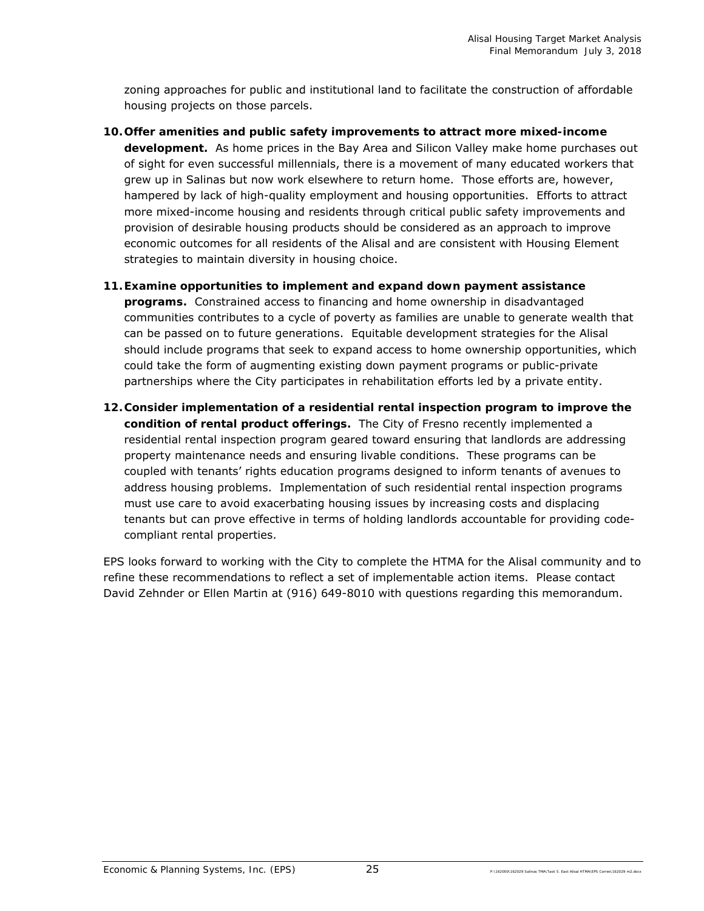zoning approaches for public and institutional land to facilitate the construction of affordable housing projects on those parcels.

- **10.Offer amenities and public safety improvements to attract more mixed-income development.** As home prices in the Bay Area and Silicon Valley make home purchases out of sight for even successful millennials, there is a movement of many educated workers that grew up in Salinas but now work elsewhere to return home. Those efforts are, however, hampered by lack of high-quality employment and housing opportunities. Efforts to attract more mixed-income housing and residents through critical public safety improvements and provision of desirable housing products should be considered as an approach to improve economic outcomes for all residents of the Alisal and are consistent with Housing Element strategies to maintain diversity in housing choice.
- **11.Examine opportunities to implement and expand down payment assistance programs.** Constrained access to financing and home ownership in disadvantaged communities contributes to a cycle of poverty as families are unable to generate wealth that can be passed on to future generations. Equitable development strategies for the Alisal should include programs that seek to expand access to home ownership opportunities, which could take the form of augmenting existing down payment programs or public-private partnerships where the City participates in rehabilitation efforts led by a private entity.
- **12.Consider implementation of a residential rental inspection program to improve the condition of rental product offerings.** The City of Fresno recently implemented a residential rental inspection program geared toward ensuring that landlords are addressing property maintenance needs and ensuring livable conditions. These programs can be coupled with tenants' rights education programs designed to inform tenants of avenues to address housing problems. Implementation of such residential rental inspection programs must use care to avoid exacerbating housing issues by increasing costs and displacing tenants but can prove effective in terms of holding landlords accountable for providing codecompliant rental properties.

EPS looks forward to working with the City to complete the HTMA for the Alisal community and to refine these recommendations to reflect a set of implementable action items. Please contact David Zehnder or Ellen Martin at (916) 649-8010 with questions regarding this memorandum.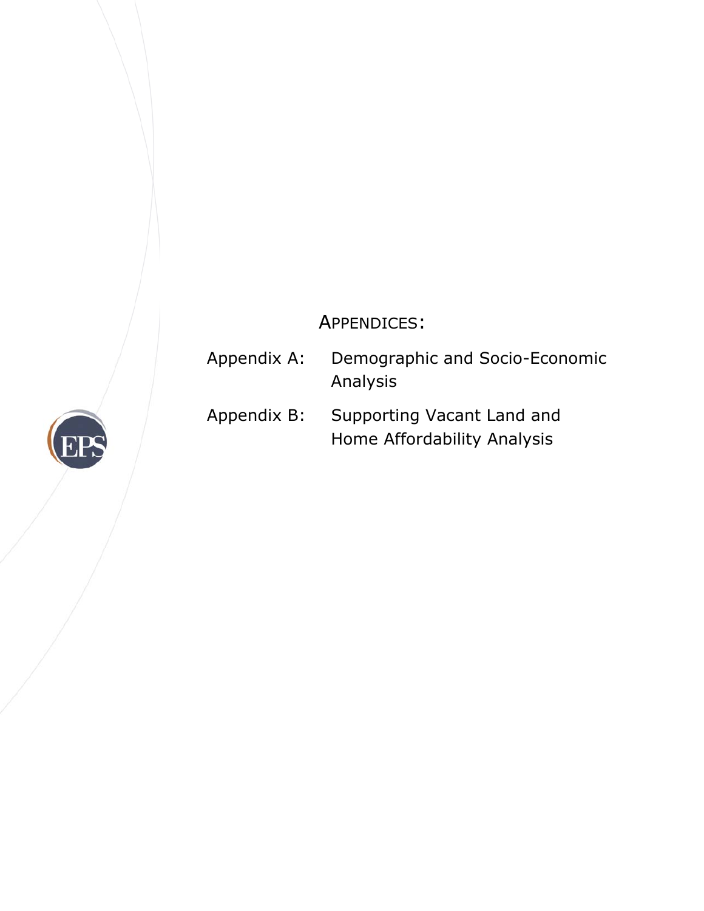## APPENDICES:

Appendix A: Demographic and Socio-Economic Analysis Appendix B: Supporting Vacant Land and Home Affordability Analysis

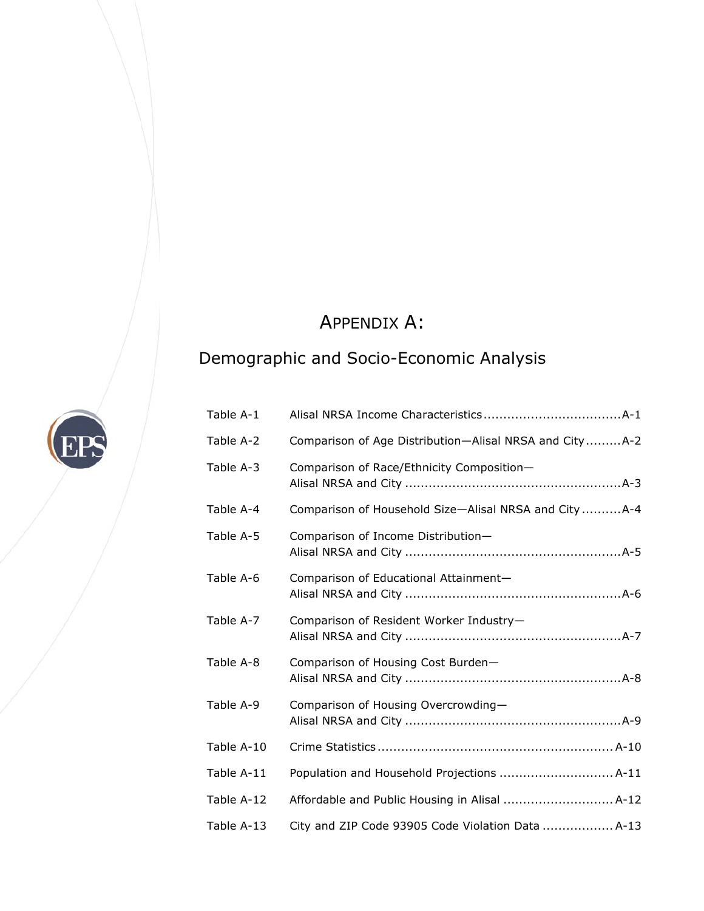## APPENDIX A:

## Demographic and Socio-Economic Analysis

EPS

| Table A-1  |                                                        |
|------------|--------------------------------------------------------|
| Table A-2  | Comparison of Age Distribution-Alisal NRSA and CityA-2 |
| Table A-3  | Comparison of Race/Ethnicity Composition-              |
| Table A-4  | Comparison of Household Size-Alisal NRSA and City A-4  |
| Table A-5  | Comparison of Income Distribution-                     |
| Table A-6  | Comparison of Educational Attainment-                  |
| Table A-7  | Comparison of Resident Worker Industry-                |
| Table A-8  | Comparison of Housing Cost Burden-                     |
| Table A-9  | Comparison of Housing Overcrowding-                    |
| Table A-10 |                                                        |
| Table A-11 | Population and Household Projections  A-11             |
| Table A-12 | Affordable and Public Housing in Alisal  A-12          |
| Table A-13 | City and ZIP Code 93905 Code Violation Data  A-13      |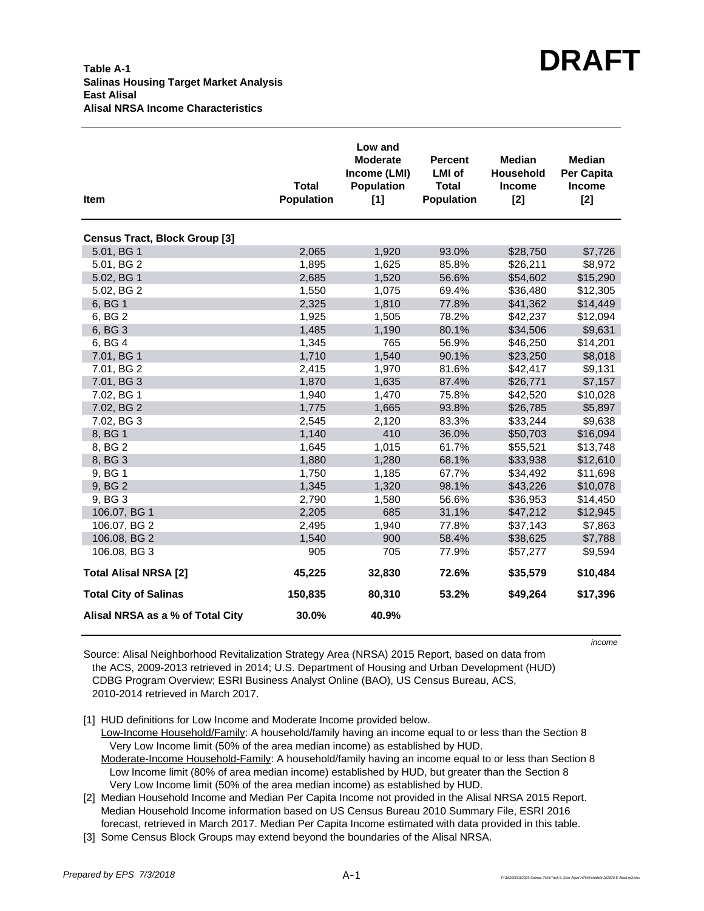| <b>Item</b>                          | <b>Total</b><br><b>Population</b> | Low and<br><b>Moderate</b><br>Income (LMI)<br><b>Population</b><br>[1] | <b>Percent</b><br><b>LMI</b> of<br><b>Total</b><br><b>Population</b> | <b>Median</b><br>Household<br>Income<br>$[2]$ | <b>Median</b><br>Per Capita<br><b>Income</b><br>$[2]$ |
|--------------------------------------|-----------------------------------|------------------------------------------------------------------------|----------------------------------------------------------------------|-----------------------------------------------|-------------------------------------------------------|
| <b>Census Tract, Block Group [3]</b> |                                   |                                                                        |                                                                      |                                               |                                                       |
| 5.01, BG 1                           | 2,065                             | 1,920                                                                  | 93.0%                                                                | \$28,750                                      | \$7,726                                               |
| 5.01, BG 2                           | 1,895                             | 1,625                                                                  | 85.8%                                                                | \$26,211                                      | \$8,972                                               |
| 5.02, BG 1                           | 2,685                             | 1,520                                                                  | 56.6%                                                                | \$54,602                                      | \$15,290                                              |
| 5.02, BG 2                           | 1,550                             | 1,075                                                                  | 69.4%                                                                | \$36,480                                      | \$12,305                                              |
| 6, BG 1                              | 2,325                             | 1,810                                                                  | 77.8%                                                                | \$41,362                                      | \$14,449                                              |
| 6, BG 2                              | 1,925                             | 1,505                                                                  | 78.2%                                                                | \$42,237                                      | \$12,094                                              |
| 6, BG 3                              | 1,485                             | 1,190                                                                  | 80.1%                                                                | \$34,506                                      | \$9,631                                               |
| 6, BG 4                              | 1,345                             | 765                                                                    | 56.9%                                                                | \$46,250                                      | \$14,201                                              |
| 7.01, BG 1                           | 1,710                             | 1,540                                                                  | 90.1%                                                                | \$23,250                                      | \$8,018                                               |
| 7.01, BG 2                           | 2,415                             | 1,970                                                                  | 81.6%                                                                | \$42,417                                      | \$9,131                                               |
| 7.01, BG 3                           | 1,870                             | 1,635                                                                  | 87.4%                                                                | \$26,771                                      | \$7,157                                               |
| 7.02, BG 1                           | 1,940                             | 1,470                                                                  | 75.8%                                                                | \$42,520                                      | \$10,028                                              |
| 7.02, BG 2                           | 1,775                             | 1,665                                                                  | 93.8%                                                                | \$26,785                                      | \$5,897                                               |
| 7.02, BG 3                           | 2,545                             | 2,120                                                                  | 83.3%                                                                | \$33,244                                      | \$9,638                                               |
| 8, BG 1                              | 1,140                             | 410                                                                    | 36.0%                                                                | \$50,703                                      | \$16,094                                              |
| 8, BG 2                              | 1,645                             | 1,015                                                                  | 61.7%                                                                | \$55,521                                      | \$13,748                                              |
| 8, BG 3                              | 1,880                             | 1,280                                                                  | 68.1%                                                                | \$33,938                                      | \$12,610                                              |
| 9, BG 1                              | 1,750                             | 1,185                                                                  | 67.7%                                                                | \$34,492                                      | \$11,698                                              |
| 9, BG 2                              | 1,345                             | 1,320                                                                  | 98.1%                                                                | \$43,226                                      | \$10,078                                              |
| 9, BG 3                              | 2,790                             | 1,580                                                                  | 56.6%                                                                | \$36,953                                      | \$14,450                                              |
| 106.07, BG 1                         | 2,205                             | 685                                                                    | 31.1%                                                                | \$47,212                                      | \$12,945                                              |
| 106.07, BG 2                         | 2,495                             | 1,940                                                                  | 77.8%                                                                | \$37,143                                      | \$7,863                                               |
| 106.08, BG 2                         | 1,540                             | 900                                                                    | 58.4%                                                                | \$38,625                                      | \$7,788                                               |
| 106.08, BG 3                         | 905                               | 705                                                                    | 77.9%                                                                | \$57,277                                      | \$9,594                                               |
| <b>Total Alisal NRSA [2]</b>         | 45,225                            | 32,830                                                                 | 72.6%                                                                | \$35,579                                      | \$10,484                                              |
| <b>Total City of Salinas</b>         | 150,835                           | 80,310                                                                 | 53.2%                                                                | \$49,264                                      | \$17,396                                              |
| Alisal NRSA as a % of Total City     | 30.0%                             | 40.9%                                                                  |                                                                      |                                               |                                                       |

*income*

Source: Alisal Neighborhood Revitalization Strategy Area (NRSA) 2015 Report, based on data from the ACS, 2009-2013 retrieved in 2014; U.S. Department of Housing and Urban Development (HUD) CDBG Program Overview; ESRI Business Analyst Online (BAO), US Census Bureau, ACS, 2010-2014 retrieved in March 2017.

[1] HUD definitions for Low Income and Moderate Income provided below.

 Low-Income Household/Family: A household/family having an income equal to or less than the Section 8 Very Low Income limit (50% of the area median income) as established by HUD.

Moderate-Income Household-Family: A household/family having an income equal to or less than Section 8 Low Income limit (80% of area median income) established by HUD, but greater than the Section 8 Very Low Income limit (50% of the area median income) as established by HUD.

[2] Median Household Income and Median Per Capita Income not provided in the Alisal NRSA 2015 Report. Median Household Income information based on US Census Bureau 2010 Summary File, ESRI 2016 forecast, retrieved in March 2017. Median Per Capita Income estimated with data provided in this table.

[3] Some Census Block Groups may extend beyond the boundaries of the Alisal NRSA.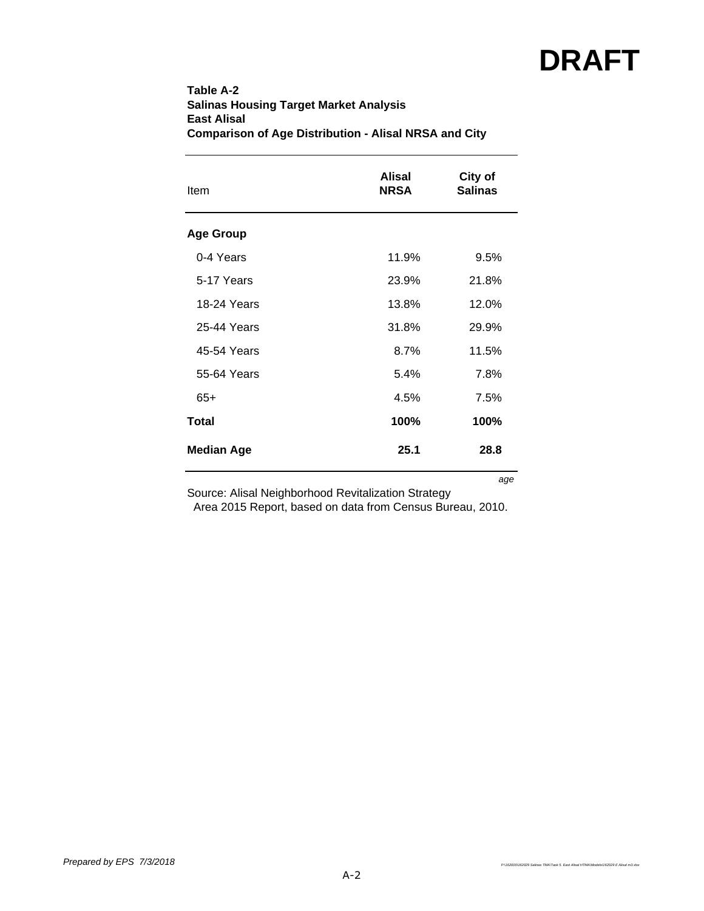| Table A-2                                                    |  |
|--------------------------------------------------------------|--|
| <b>Salinas Housing Target Market Analysis</b>                |  |
| East Alisal                                                  |  |
| <b>Comparison of Age Distribution - Alisal NRSA and City</b> |  |

| <b>Item</b>       | Alisal<br><b>NRSA</b> | City of<br><b>Salinas</b> |  |  |
|-------------------|-----------------------|---------------------------|--|--|
| <b>Age Group</b>  |                       |                           |  |  |
| 0-4 Years         | 11.9%                 | 9.5%                      |  |  |
| 5-17 Years        | 23.9%                 | 21.8%                     |  |  |
| 18-24 Years       | 13.8%                 | 12.0%                     |  |  |
| 25-44 Years       | 31.8%                 | 29.9%                     |  |  |
| 45-54 Years       | 8.7%                  | 11.5%                     |  |  |
| 55-64 Years       | 5.4%                  | 7.8%                      |  |  |
| $65+$             | 4.5%                  | 7.5%                      |  |  |
| <b>Total</b>      | 100%                  | 100%                      |  |  |
| <b>Median Age</b> | 25.1                  | 28.8                      |  |  |
|                   |                       | age                       |  |  |

Source: Alisal Neighborhood Revitalization Strategy

Area 2015 Report, based on data from Census Bureau, 2010.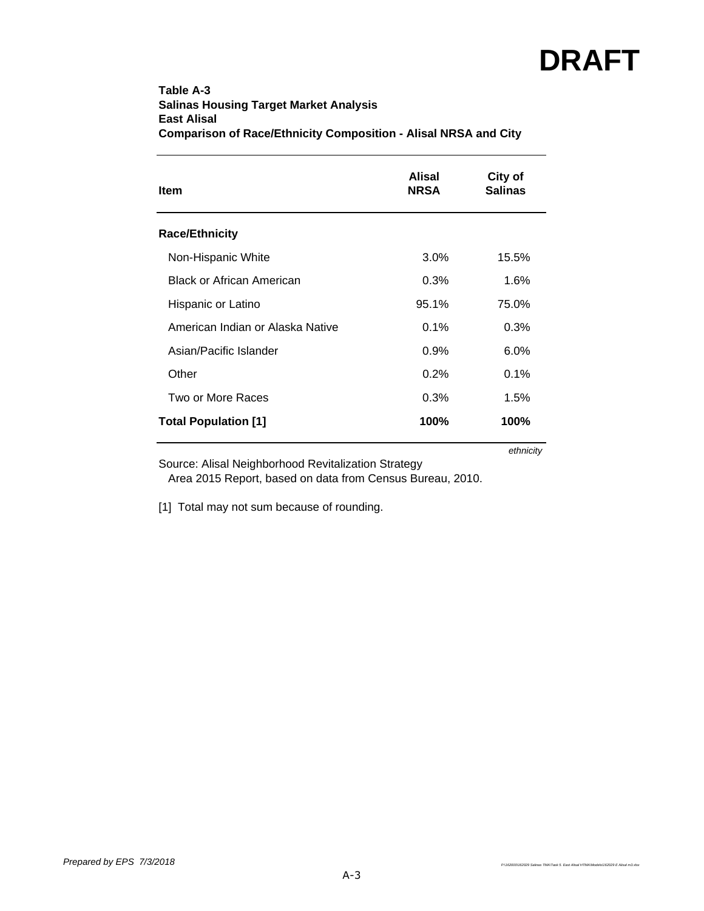## **Table A-3 Salinas Housing Target Market Analysis East Alisal Comparison of Race/Ethnicity Composition - Alisal NRSA and City**

| <b>Item</b>                      | Alisal<br><b>NRSA</b> | City of<br><b>Salinas</b> |
|----------------------------------|-----------------------|---------------------------|
| <b>Race/Ethnicity</b>            |                       |                           |
| Non-Hispanic White               | $3.0\%$               | 15.5%                     |
| <b>Black or African American</b> | 0.3%                  | 1.6%                      |
| Hispanic or Latino               | 95.1%                 | 75.0%                     |
| American Indian or Alaska Native | 0.1%                  | 0.3%                      |
| Asian/Pacific Islander           | 0.9%                  | 6.0%                      |
| Other                            | 0.2%                  | 0.1%                      |
| Two or More Races                | 0.3%                  | 1.5%                      |
| <b>Total Population [1]</b>      | 100%                  | 100%                      |

*ethnicity*

Source: Alisal Neighborhood Revitalization Strategy

Area 2015 Report, based on data from Census Bureau, 2010.

[1] Total may not sum because of rounding.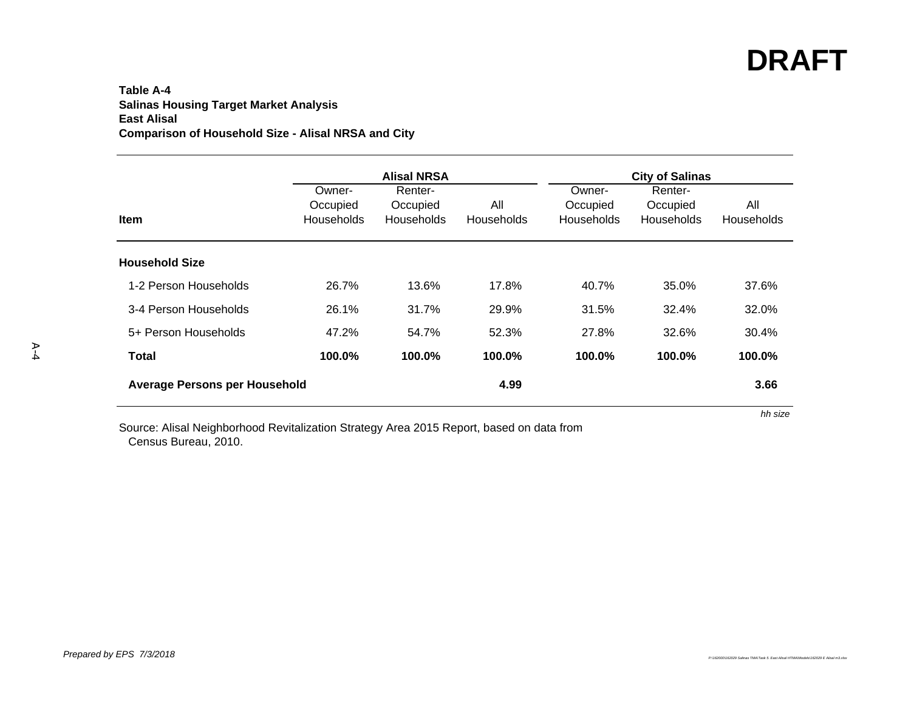### **Table A-4Salinas Housing Target Market Analysis East Alisal Comparison of Household Size - Alisal NRSA and City**

|                                      |                                         | <b>Alisal NRSA</b>                |                          | <b>City of Salinas</b>           |                                   |                   |  |  |  |
|--------------------------------------|-----------------------------------------|-----------------------------------|--------------------------|----------------------------------|-----------------------------------|-------------------|--|--|--|
| <b>Item</b>                          | Owner-<br>Occupied<br><b>Households</b> | Renter-<br>Occupied<br>Households | All<br><b>Households</b> | Owner-<br>Occupied<br>Households | Renter-<br>Occupied<br>Households | All<br>Households |  |  |  |
| <b>Household Size</b>                |                                         |                                   |                          |                                  |                                   |                   |  |  |  |
| 1-2 Person Households                | 26.7%                                   | 13.6%                             | 17.8%                    | 40.7%                            | 35.0%                             | 37.6%             |  |  |  |
| 3-4 Person Households                | 26.1%                                   | 31.7%                             | 29.9%                    | 31.5%                            | 32.4%                             | 32.0%             |  |  |  |
| 5+ Person Households                 | 47.2%                                   | 54.7%                             | 52.3%                    | 27.8%                            | 32.6%                             | 30.4%             |  |  |  |
| <b>Total</b>                         | 100.0%                                  | 100.0%                            | 100.0%                   | 100.0%                           | 100.0%                            | 100.0%            |  |  |  |
| <b>Average Persons per Household</b> |                                         |                                   | 4.99                     |                                  |                                   | 3.66              |  |  |  |
|                                      |                                         |                                   |                          |                                  |                                   | hh size           |  |  |  |

Source: Alisal Neighborhood Revitalization Strategy Area 2015 Report, based on data from Census Bureau, 2010.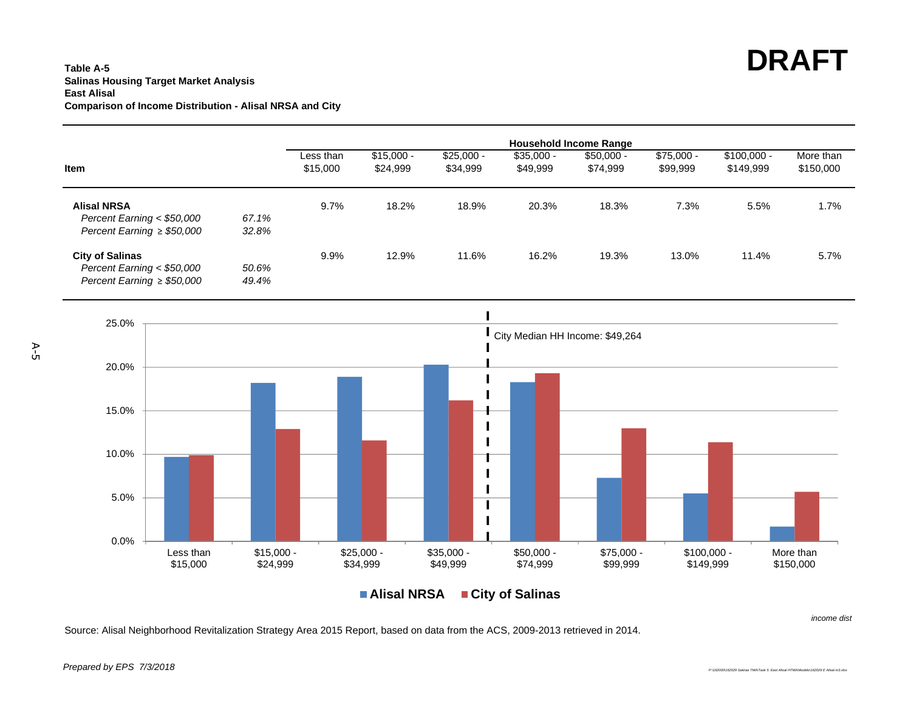#### **Table A-5Salinas Housing Target Market Analysis East AlisalComparison of Income Distribution - Alisal NRSA and City**



**Alisal NRSACity of Salinas**

Source: Alisal Neighborhood Revitalization Strategy Area 2015 Report, based on data from the ACS, 2009-2013 retrieved in 2014.

A-5

*income dist*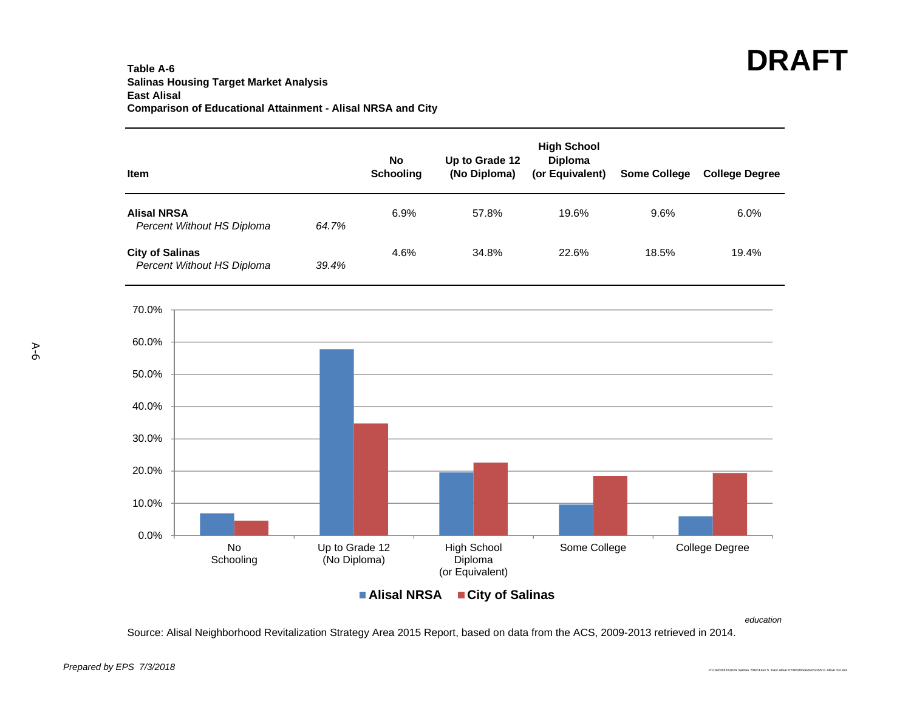#### **Table A-6Salinas Housing Target Market Analysis East Alisal Comparison of Educational Attainment - Alisal NRSA and City**

| Item                                                 | <b>No</b><br><b>Schooling</b>  | Up to Grade 12<br>(No Diploma)                   | <b>High School</b><br><b>Diploma</b><br>(or Equivalent) | <b>Some College</b> | <b>College Degree</b> |
|------------------------------------------------------|--------------------------------|--------------------------------------------------|---------------------------------------------------------|---------------------|-----------------------|
| <b>Alisal NRSA</b><br>Percent Without HS Diploma     | 6.9%<br>64.7%                  | 57.8%                                            | 19.6%                                                   | 9.6%                | 6.0%                  |
| <b>City of Salinas</b><br>Percent Without HS Diploma | 4.6%<br>39.4%                  | 34.8%                                            | 22.6%                                                   | 18.5%               | 19.4%                 |
| 70.0%                                                |                                |                                                  |                                                         |                     |                       |
| 60.0%                                                |                                |                                                  |                                                         |                     |                       |
| 50.0%                                                |                                |                                                  |                                                         |                     |                       |
| 40.0%                                                |                                |                                                  |                                                         |                     |                       |
| 30.0%                                                |                                |                                                  |                                                         |                     |                       |
| 20.0%                                                |                                |                                                  |                                                         |                     |                       |
| 10.0%                                                |                                |                                                  |                                                         |                     |                       |
| 0.0%                                                 |                                |                                                  |                                                         |                     |                       |
| No<br>Schooling                                      | Up to Grade 12<br>(No Diploma) | <b>High School</b><br>Diploma<br>(or Equivalent) | Some College                                            |                     | College Degree        |
|                                                      | <b>Alisal NRSA</b>             | ■ City of Salinas                                |                                                         |                     |                       |

*education*

Source: Alisal Neighborhood Revitalization Strategy Area 2015 Report, based on data from the ACS, 2009-2013 retrieved in 2014.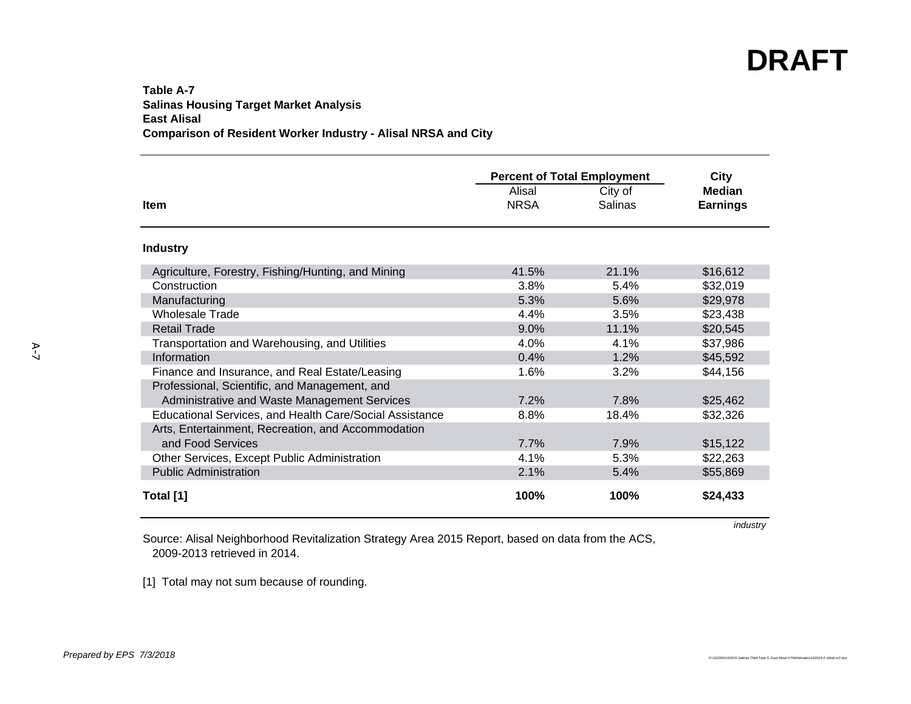#### **Table A-7Salinas Housing Target Market Analysis East Alisal Comparison of Resident Worker Industry - Alisal NRSA and City**

|                                                         | <b>Percent of Total Employment</b> | City    |                 |
|---------------------------------------------------------|------------------------------------|---------|-----------------|
|                                                         | Alisal                             | City of | <b>Median</b>   |
| <b>Item</b>                                             | <b>NRSA</b>                        | Salinas | <b>Earnings</b> |
| <b>Industry</b>                                         |                                    |         |                 |
| Agriculture, Forestry, Fishing/Hunting, and Mining      | 41.5%                              | 21.1%   | \$16,612        |
| Construction                                            | 3.8%                               | 5.4%    | \$32,019        |
| Manufacturing                                           | 5.3%                               | 5.6%    | \$29,978        |
| <b>Wholesale Trade</b>                                  | 4.4%                               | 3.5%    | \$23,438        |
| <b>Retail Trade</b>                                     | 9.0%                               | 11.1%   | \$20,545        |
| Transportation and Warehousing, and Utilities           | 4.0%                               | 4.1%    | \$37,986        |
| Information                                             | 0.4%                               | 1.2%    | \$45,592        |
| Finance and Insurance, and Real Estate/Leasing          | 1.6%                               | $3.2\%$ | \$44,156        |
| Professional, Scientific, and Management, and           |                                    |         |                 |
| Administrative and Waste Management Services            | 7.2%                               | 7.8%    | \$25,462        |
| Educational Services, and Health Care/Social Assistance | 8.8%                               | 18.4%   | \$32,326        |
| Arts, Entertainment, Recreation, and Accommodation      |                                    |         |                 |
| and Food Services                                       | 7.7%                               | 7.9%    | \$15,122        |
| Other Services, Except Public Administration            | 4.1%                               | 5.3%    | \$22,263        |
| <b>Public Administration</b>                            | 2.1%                               | 5.4%    | \$55,869        |
| Total [1]                                               | 100%                               | 100%    | \$24,433        |

*industry*

Source: Alisal Neighborhood Revitalization Strategy Area 2015 Report, based on data from the ACS, 2009-2013 retrieved in 2014.

[1] Total may not sum because of rounding.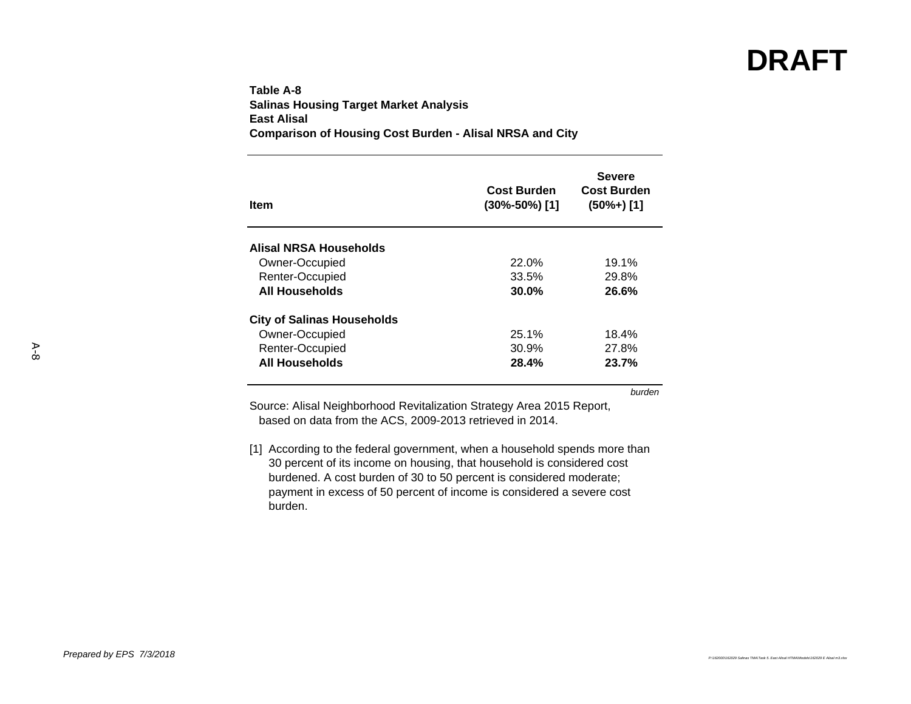### **Table A-8Salinas Housing Target Market Analysis East AlisalComparison of Housing Cost Burden - Alisal NRSA and City**

| ltem                              | <b>Cost Burden</b><br>$(30\% - 50\%)$ [1] | <b>Severe</b><br><b>Cost Burden</b><br>$(50\% + )$ [1] |
|-----------------------------------|-------------------------------------------|--------------------------------------------------------|
| Alisal NRSA Households            |                                           |                                                        |
| Owner-Occupied                    | 22.0%                                     | 19.1%                                                  |
| Renter-Occupied                   | 33.5%                                     | 29.8%                                                  |
| <b>All Households</b>             | 30.0%                                     | 26.6%                                                  |
| <b>City of Salinas Households</b> |                                           |                                                        |
| Owner-Occupied                    | 25.1%                                     | 18.4%                                                  |
| Renter-Occupied                   | 30.9%                                     | 27.8%                                                  |
| <b>All Households</b>             | 28.4%                                     | 23.7%                                                  |

*burden*

Source: Alisal Neighborhood Revitalization Strategy Area 2015 Report, based on data from the ACS, 2009-2013 retrieved in 2014.

[1] According to the federal government, when a household spends more than 30 percent of its income on housing, that household is considered cost burdened. A cost burden of 30 to 50 percent is considered moderate; payment in excess of 50 percent of income is considered a severe cost burden.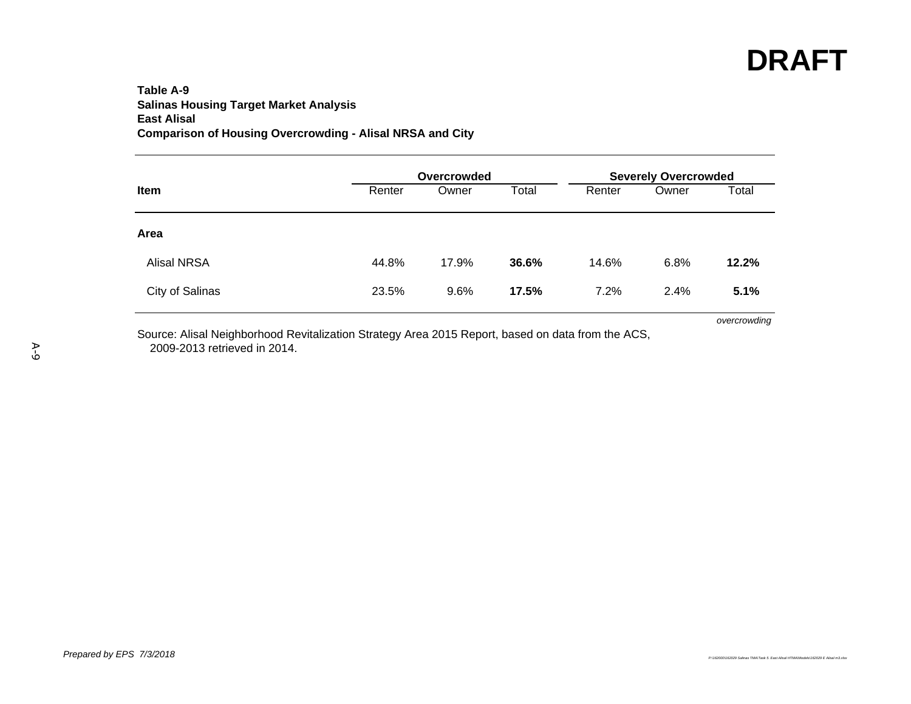### **Table A-9Salinas Housing Target Market Analysis East Alisal Comparison of Housing Overcrowding - Alisal NRSA and City**

|                    |        | Overcrowded |       | <b>Severely Overcrowded</b> |       |       |  |
|--------------------|--------|-------------|-------|-----------------------------|-------|-------|--|
| Item               | Renter | Owner       | Total | Renter                      | Owner | Total |  |
| Area               |        |             |       |                             |       |       |  |
| <b>Alisal NRSA</b> | 44.8%  | 17.9%       | 36.6% | 14.6%                       | 6.8%  | 12.2% |  |
| City of Salinas    | 23.5%  | 9.6%        | 17.5% | 7.2%                        | 2.4%  | 5.1%  |  |

Source: Alisal Neighborhood Revitalization Strategy Area 2015 Report, based on data from the ACS, 2009-2013 retrieved in 2014.

*overcrowding*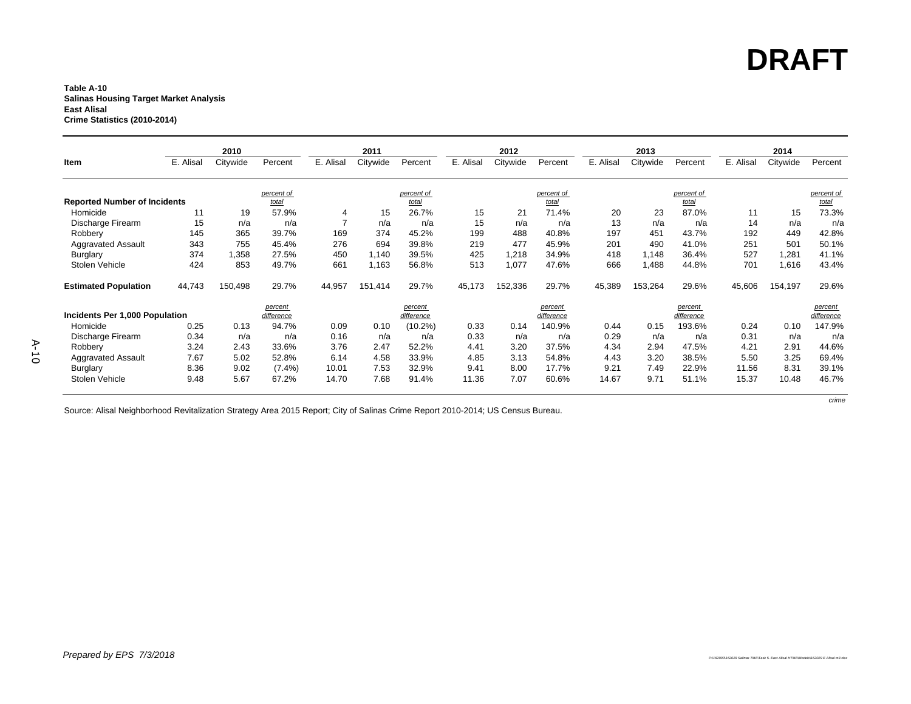*crime*

#### **Table A-10 Salinas Housing Target Market Analysis East Alisal Crime Statistics (2010-2014)**

|                                     |           | 2010     |            |                | 2011     |            |           | 2012     |            |          | 2013     |            |          | 2014     |            |
|-------------------------------------|-----------|----------|------------|----------------|----------|------------|-----------|----------|------------|----------|----------|------------|----------|----------|------------|
| Item                                | E. Alisal | Citywide | Percent    | E. Alisal      | Citywide | Percent    | E. Alisal | Citywide | Percent    | E. Alisa | Citywide | Percent    | E. Alisa | Citywide | Percent    |
|                                     |           |          |            |                |          |            |           |          |            |          |          |            |          |          |            |
|                                     |           |          | percent of |                |          | percent of |           |          | percent of |          |          | percent of |          |          | percent of |
| <b>Reported Number of Incidents</b> |           |          | total      |                |          | total      |           |          | total      |          |          | total      |          |          | total      |
| Homicide                            | 11        | 19       | 57.9%      | 4              | 15       | 26.7%      | 15        | 21       | 71.4%      | 20       | 23       | 87.0%      | 11       | 15       | 73.3%      |
| Discharge Firearm                   | 15        | n/a      | n/a        | $\overline{ }$ | n/a      | n/a        | 15        | n/a      | n/a        | 13       | n/a      | n/a        | 14       | n/a      | n/a        |
| Robbery                             | 145       | 365      | 39.7%      | 169            | 374      | 45.2%      | 199       | 488      | 40.8%      | 197      | 451      | 43.7%      | 192      | 449      | 42.8%      |
| <b>Aggravated Assault</b>           | 343       | 755      | 45.4%      | 276            | 694      | 39.8%      | 219       | 477      | 45.9%      | 201      | 490      | 41.0%      | 251      | 501      | 50.1%      |
| Burglary                            | 374       | 1.358    | 27.5%      | 450            | 1.140    | 39.5%      | 425       | 1.218    | 34.9%      | 418      | 1.148    | 36.4%      | 527      | 1.281    | 41.1%      |
| Stolen Vehicle                      | 424       | 853      | 49.7%      | 661            | 1,163    | 56.8%      | 513       | 1,077    | 47.6%      | 666      | 1,488    | 44.8%      | 701      | 1,616    | 43.4%      |
| <b>Estimated Population</b>         | 44,743    | 150,498  | 29.7%      | 44,957         | 151,414  | 29.7%      | 45,173    | 152,336  | 29.7%      | 45,389   | 153,264  | 29.6%      | 45,606   | 154,197  | 29.6%      |
|                                     |           |          | percent    |                |          | percent    |           |          | percent    |          |          | percent    |          |          | percent    |
| Incidents Per 1,000 Population      |           |          | difference |                |          | difference |           |          | difference |          |          | difference |          |          | difference |
| Homicide                            | 0.25      | 0.13     | 94.7%      | 0.09           | 0.10     | $(10.2\%)$ | 0.33      | 0.14     | 140.9%     | 0.44     | 0.15     | 193.6%     | 0.24     | 0.10     | 147.9%     |
| Discharge Firearm                   | 0.34      | n/a      | n/a        | 0.16           | n/a      | n/a        | 0.33      | n/a      | n/a        | 0.29     | n/a      | n/a        | 0.31     | n/a      | n/a        |
| Robbery                             | 3.24      | 2.43     | 33.6%      | 3.76           | 2.47     | 52.2%      | 4.41      | 3.20     | 37.5%      | 4.34     | 2.94     | 47.5%      | 4.21     | 2.91     | 44.6%      |
| <b>Aggravated Assault</b>           | 7.67      | 5.02     | 52.8%      | 6.14           | 4.58     | 33.9%      | 4.85      | 3.13     | 54.8%      | 4.43     | 3.20     | 38.5%      | 5.50     | 3.25     | 69.4%      |
| <b>Burglary</b>                     | 8.36      | 9.02     | $(7.4\%)$  | 10.01          | 7.53     | 32.9%      | 9.41      | 8.00     | 17.7%      | 9.21     | 7.49     | 22.9%      | 11.56    | 8.31     | 39.1%      |
| Stolen Vehicle                      | 9.48      | 5.67     | 67.2%      | 14.70          | 7.68     | 91.4%      | 11.36     | 7.07     | 60.6%      | 14.67    | 9.71     | 51.1%      | 15.37    | 10.48    | 46.7%      |

Source: Alisal Neighborhood Revitalization Strategy Area 2015 Report; City of Salinas Crime Report 2010-2014; US Census Bureau.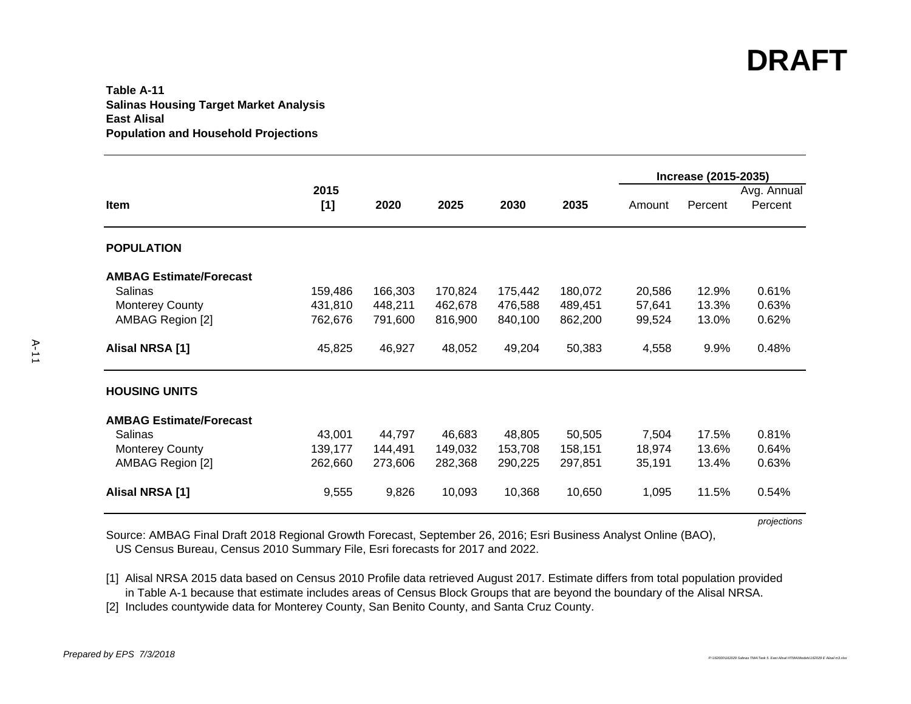#### **Table A-11Salinas Housing Target Market Analysis East AlisalPopulation and Household Projections**

|                                |             |         |         |         |         |        | Increase (2015-2035) |                        |
|--------------------------------|-------------|---------|---------|---------|---------|--------|----------------------|------------------------|
| Item                           | 2015<br>[1] | 2020    | 2025    | 2030    | 2035    | Amount | Percent              | Avg. Annual<br>Percent |
| <b>POPULATION</b>              |             |         |         |         |         |        |                      |                        |
| <b>AMBAG Estimate/Forecast</b> |             |         |         |         |         |        |                      |                        |
| Salinas                        | 159,486     | 166,303 | 170,824 | 175,442 | 180,072 | 20,586 | 12.9%                | 0.61%                  |
| <b>Monterey County</b>         | 431,810     | 448,211 | 462,678 | 476,588 | 489,451 | 57,641 | 13.3%                | 0.63%                  |
| AMBAG Region [2]               | 762,676     | 791,600 | 816,900 | 840,100 | 862,200 | 99,524 | 13.0%                | 0.62%                  |
| Alisal NRSA [1]                | 45,825      | 46,927  | 48,052  | 49,204  | 50,383  | 4,558  | 9.9%                 | 0.48%                  |
| <b>HOUSING UNITS</b>           |             |         |         |         |         |        |                      |                        |
| <b>AMBAG Estimate/Forecast</b> |             |         |         |         |         |        |                      |                        |
| Salinas                        | 43,001      | 44,797  | 46,683  | 48,805  | 50,505  | 7,504  | 17.5%                | 0.81%                  |
| <b>Monterey County</b>         | 139,177     | 144,491 | 149,032 | 153,708 | 158,151 | 18,974 | 13.6%                | 0.64%                  |
| AMBAG Region [2]               | 262,660     | 273,606 | 282,368 | 290,225 | 297,851 | 35,191 | 13.4%                | 0.63%                  |
| Alisal NRSA [1]                | 9,555       | 9,826   | 10,093  | 10,368  | 10,650  | 1,095  | 11.5%                | 0.54%                  |

*projections*

Source: AMBAG Final Draft 2018 Regional Growth Forecast, September 26, 2016; Esri Business Analyst Online (BAO), US Census Bureau, Census 2010 Summary File, Esri forecasts for 2017 and 2022.

[1] Alisal NRSA 2015 data based on Census 2010 Profile data retrieved August 2017. Estimate differs from total population provided in Table A-1 because that estimate includes areas of Census Block Groups that are beyond the boundary of the Alisal NRSA.

[2] Includes countywide data for Monterey County, San Benito County, and Santa Cruz County.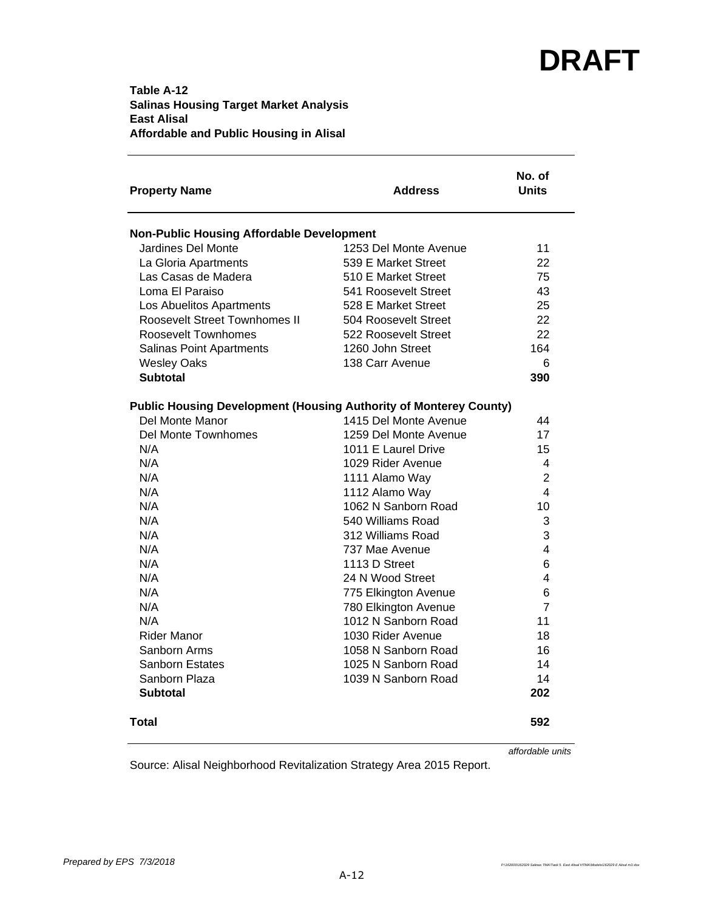### **Table A-12 Salinas Housing Target Market Analysis East Alisal Affordable and Public Housing in Alisal**

| <b>Property Name</b>                                                     | <b>Address</b>        | No. of<br><b>Units</b> |
|--------------------------------------------------------------------------|-----------------------|------------------------|
| <b>Non-Public Housing Affordable Development</b>                         |                       |                        |
| Jardines Del Monte                                                       | 1253 Del Monte Avenue | 11                     |
| La Gloria Apartments                                                     | 539 E Market Street   | 22                     |
| Las Casas de Madera                                                      | 510 E Market Street   | 75                     |
| Loma El Paraiso                                                          | 541 Roosevelt Street  | 43                     |
| Los Abuelitos Apartments                                                 | 528 E Market Street   | 25                     |
| <b>Roosevelt Street Townhomes II</b>                                     | 504 Roosevelt Street  | 22                     |
| Roosevelt Townhomes                                                      | 522 Roosevelt Street  | 22                     |
| <b>Salinas Point Apartments</b>                                          | 1260 John Street      | 164                    |
| <b>Wesley Oaks</b>                                                       | 138 Carr Avenue       | 6                      |
| <b>Subtotal</b>                                                          |                       | 390                    |
| <b>Public Housing Development (Housing Authority of Monterey County)</b> |                       |                        |
| Del Monte Manor                                                          | 1415 Del Monte Avenue | 44                     |
| <b>Del Monte Townhomes</b>                                               | 1259 Del Monte Avenue | 17                     |
| N/A                                                                      | 1011 E Laurel Drive   | 15                     |
| N/A                                                                      | 1029 Rider Avenue     | 4                      |
| N/A                                                                      | 1111 Alamo Way        | 2                      |
| N/A                                                                      | 1112 Alamo Way        | 4                      |
| N/A                                                                      | 1062 N Sanborn Road   | 10                     |
| N/A                                                                      | 540 Williams Road     | 3                      |
| N/A                                                                      | 312 Williams Road     | 3                      |
| N/A                                                                      | 737 Mae Avenue        | 4                      |
| N/A                                                                      | 1113 D Street         | 6                      |
| N/A                                                                      | 24 N Wood Street      | 4                      |
| N/A                                                                      | 775 Elkington Avenue  | 6                      |
| N/A                                                                      | 780 Elkington Avenue  | 7                      |
| N/A                                                                      | 1012 N Sanborn Road   | 11                     |
| Rider Manor                                                              | 1030 Rider Avenue     | 18                     |
| Sanborn Arms                                                             | 1058 N Sanborn Road   | 16                     |
| Sanborn Estates                                                          | 1025 N Sanborn Road   | 14                     |
| Sanborn Plaza                                                            | 1039 N Sanborn Road   | 14                     |
| <b>Subtotal</b>                                                          |                       | 202                    |
| Total                                                                    |                       | 592                    |

*affordable units*

Source: Alisal Neighborhood Revitalization Strategy Area 2015 Report.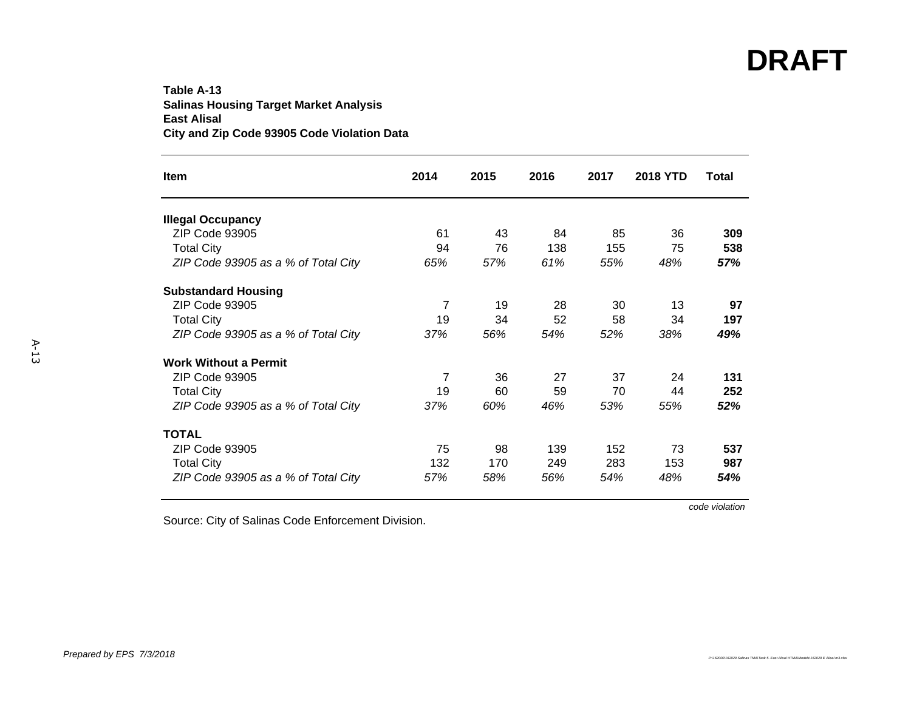### **Table A-13Salinas Housing Target Market Analysis East Alisal City and Zip Code 93905 Code Violation Data**

| <b>Item</b>                         | 2014 | 2015 | 2016 | 2017 | <b>2018 YTD</b> | <b>Total</b> |
|-------------------------------------|------|------|------|------|-----------------|--------------|
| <b>Illegal Occupancy</b>            |      |      |      |      |                 |              |
| ZIP Code 93905                      | 61   | 43   | 84   | 85   | 36              | 309          |
| <b>Total City</b>                   | 94   | 76   | 138  | 155  | 75              | 538          |
| ZIP Code 93905 as a % of Total City | 65%  | 57%  | 61%  | 55%  | 48%             | 57%          |
| <b>Substandard Housing</b>          |      |      |      |      |                 |              |
| ZIP Code 93905                      | 7    | 19   | 28   | 30   | 13              | 97           |
| <b>Total City</b>                   | 19   | 34   | 52   | 58   | 34              | 197          |
| ZIP Code 93905 as a % of Total City | 37%  | 56%  | 54%  | 52%  | 38%             | 49%          |
| <b>Work Without a Permit</b>        |      |      |      |      |                 |              |
| ZIP Code 93905                      | 7    | 36   | 27   | 37   | 24              | 131          |
| <b>Total City</b>                   | 19   | 60   | 59   | 70   | 44              | 252          |
| ZIP Code 93905 as a % of Total City | 37%  | 60%  | 46%  | 53%  | 55%             | 52%          |
| <b>TOTAL</b>                        |      |      |      |      |                 |              |
| ZIP Code 93905                      | 75   | 98   | 139  | 152  | 73              | 537          |
| <b>Total City</b>                   | 132  | 170  | 249  | 283  | 153             | 987          |
| ZIP Code 93905 as a % of Total City | 57%  | 58%  | 56%  | 54%  | 48%             | 54%          |

*code violation*

Source: City of Salinas Code Enforcement Division.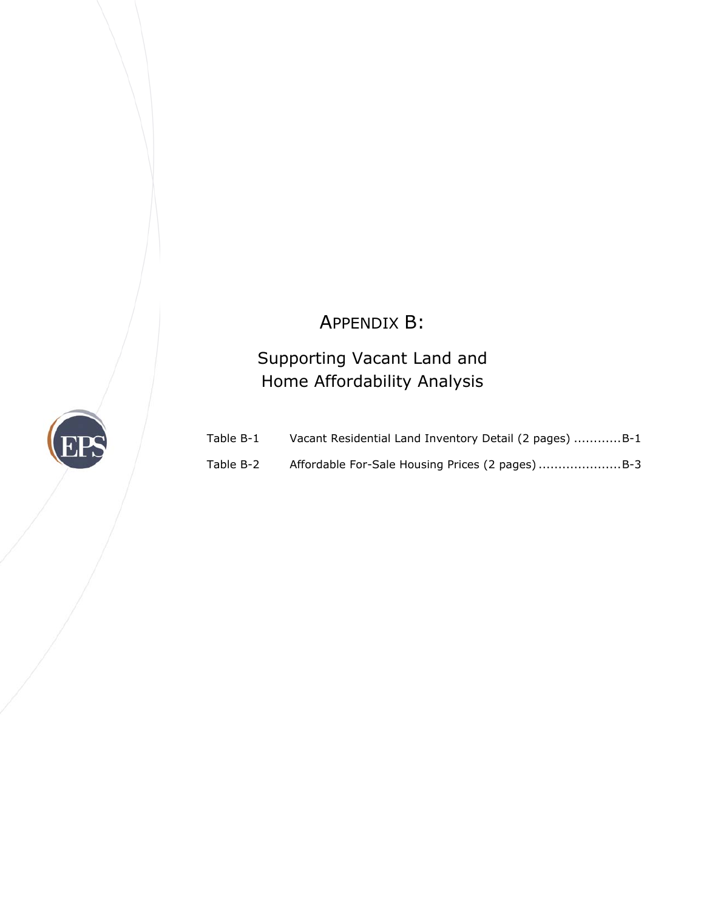## APPENDIX B:

## Supporting Vacant Land and Home Affordability Analysis



| Table B-1 | Vacant Residential Land Inventory Detail (2 pages) B-1 |
|-----------|--------------------------------------------------------|
| Table B-2 |                                                        |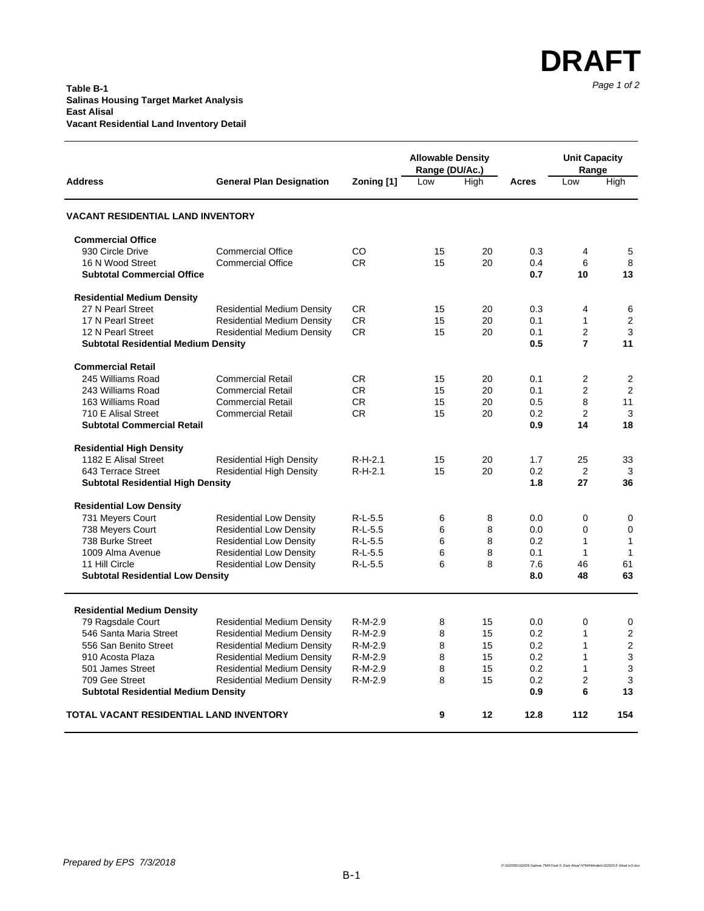|                                                              |                                   |            | <b>Allowable Density</b><br>Range (DU/Ac.) |      |            | <b>Unit Capacity</b><br>Range |                |
|--------------------------------------------------------------|-----------------------------------|------------|--------------------------------------------|------|------------|-------------------------------|----------------|
| <b>Address</b>                                               | <b>General Plan Designation</b>   | Zoning [1] | Low                                        | High | Acres      | Low                           | High           |
| <b>VACANT RESIDENTIAL LAND INVENTORY</b>                     |                                   |            |                                            |      |            |                               |                |
| <b>Commercial Office</b>                                     |                                   |            |                                            |      |            |                               |                |
| 930 Circle Drive                                             | <b>Commercial Office</b>          | <b>CO</b>  | 15                                         | 20   | 0.3        | 4                             | 5              |
| 16 N Wood Street                                             | <b>Commercial Office</b>          | <b>CR</b>  | 15                                         | 20   | 0.4        | 6                             | 8              |
| <b>Subtotal Commercial Office</b>                            |                                   |            |                                            |      | 0.7        | 10                            | 13             |
| <b>Residential Medium Density</b>                            |                                   |            |                                            |      |            |                               |                |
| 27 N Pearl Street                                            | <b>Residential Medium Density</b> | <b>CR</b>  | 15                                         | 20   | 0.3        | 4                             | 6              |
| 17 N Pearl Street                                            | <b>Residential Medium Density</b> | <b>CR</b>  | 15                                         | 20   | 0.1        | $\mathbf{1}$                  | $\overline{2}$ |
| 12 N Pearl Street                                            | <b>Residential Medium Density</b> | <b>CR</b>  | 15                                         | 20   | 0.1        | $\overline{2}$                | 3              |
| <b>Subtotal Residential Medium Density</b>                   |                                   |            |                                            |      | 0.5        | $\overline{7}$                | 11             |
| <b>Commercial Retail</b>                                     |                                   |            |                                            |      |            |                               |                |
| 245 Williams Road                                            | <b>Commercial Retail</b>          | <b>CR</b>  | 15                                         | 20   | 0.1        | $\overline{2}$                | 2              |
| 243 Williams Road                                            | <b>Commercial Retail</b>          | <b>CR</b>  | 15                                         | 20   | 0.1        | $\overline{2}$                | 2              |
| 163 Williams Road                                            | <b>Commercial Retail</b>          | <b>CR</b>  | 15                                         | 20   | 0.5        | 8                             | 11             |
| 710 E Alisal Street                                          | <b>Commercial Retail</b>          | <b>CR</b>  | 15                                         | 20   | 0.2        | $\overline{2}$                | 3              |
| <b>Subtotal Commercial Retail</b>                            |                                   |            |                                            |      | 0.9        | 14                            | 18             |
| <b>Residential High Density</b>                              |                                   |            |                                            |      |            |                               |                |
| 1182 E Alisal Street                                         | <b>Residential High Density</b>   | $R-H-2.1$  | 15                                         | 20   | 1.7        | 25                            | 33             |
| 643 Terrace Street                                           | <b>Residential High Density</b>   | $R-H-2.1$  | 15                                         | 20   | 0.2        | $\overline{2}$                | 3              |
| <b>Subtotal Residential High Density</b>                     |                                   |            |                                            |      | 1.8        | 27                            | 36             |
| <b>Residential Low Density</b>                               |                                   |            |                                            |      |            |                               |                |
| 731 Meyers Court                                             | <b>Residential Low Density</b>    | $R-L-5.5$  | 6                                          | 8    | 0.0        | 0                             | $\mathbf 0$    |
| 738 Meyers Court                                             | <b>Residential Low Density</b>    | $R-L-5.5$  | 6                                          | 8    | 0.0        | $\mathbf 0$                   | $\mathbf 0$    |
| 738 Burke Street                                             | <b>Residential Low Density</b>    | $R-L-5.5$  | 6                                          | 8    | 0.2        | 1                             | $\mathbf{1}$   |
| 1009 Alma Avenue                                             | <b>Residential Low Density</b>    | $R-L-5.5$  | 6                                          | 8    | 0.1        | $\mathbf{1}$                  | 1              |
| 11 Hill Circle                                               | <b>Residential Low Density</b>    | $R-L-5.5$  | 6                                          | 8    | 7.6        | 46                            | 61             |
| <b>Subtotal Residential Low Density</b>                      |                                   |            |                                            |      | 8.0        | 48                            | 63             |
|                                                              |                                   |            |                                            |      |            |                               |                |
| <b>Residential Medium Density</b>                            |                                   |            |                                            |      |            |                               |                |
| 79 Ragsdale Court                                            | <b>Residential Medium Density</b> | R-M-2.9    | 8                                          | 15   | 0.0        | 0                             | 0              |
| 546 Santa Maria Street                                       | <b>Residential Medium Density</b> | R-M-2.9    | 8                                          | 15   | 0.2        | 1                             | 2              |
| 556 San Benito Street                                        | <b>Residential Medium Density</b> | R-M-2.9    | 8                                          | 15   | 0.2        | $\mathbf{1}$                  | 2              |
| 910 Acosta Plaza                                             | <b>Residential Medium Density</b> | R-M-2.9    | 8                                          | 15   | 0.2        | $\mathbf{1}$                  | 3              |
| 501 James Street                                             | <b>Residential Medium Density</b> | R-M-2.9    | 8                                          | 15   | 0.2        | $\mathbf{1}$                  | 3              |
| 709 Gee Street<br><b>Subtotal Residential Medium Density</b> | <b>Residential Medium Density</b> | $R-M-2.9$  | 8                                          | 15   | 0.2<br>0.9 | 2<br>6                        | 3<br>13        |
|                                                              |                                   |            |                                            |      |            |                               |                |
| <b>TOTAL VACANT RESIDENTIAL LAND INVENTORY</b>               |                                   |            | 9                                          | 12   | 12.8       | 112                           | 154            |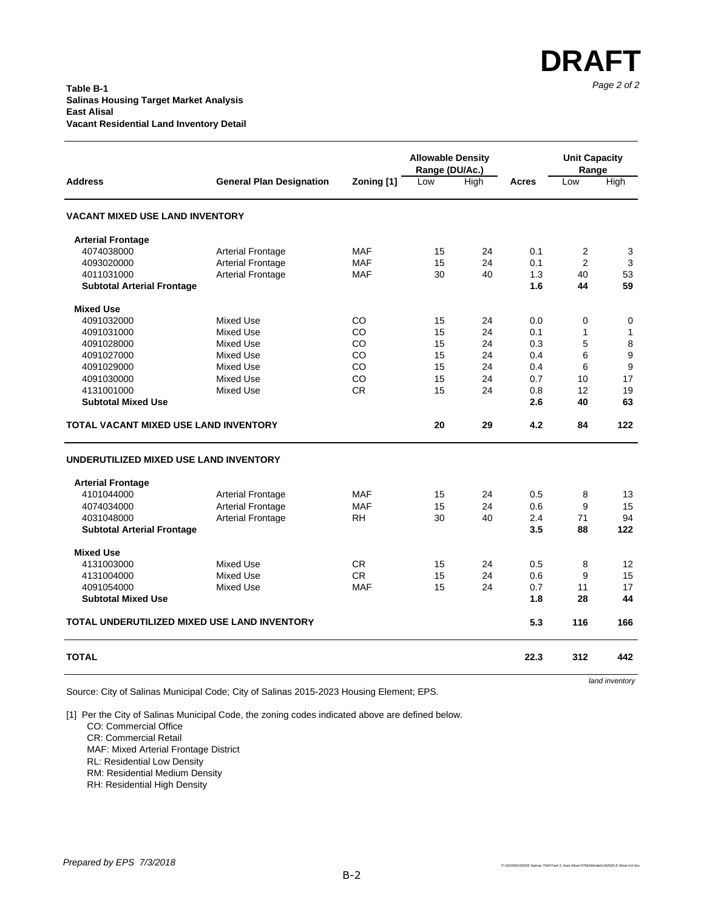#### *Page 2 of 2* **Table B-1 Salinas Housing Target Market Analysis East Alisal Vacant Residential Land Inventory Detail**

|                                              |                                 |            | <b>Allowable Density</b><br>Range (DU/Ac.) |      | <b>Unit Capacity</b><br>Range |                |              |  |
|----------------------------------------------|---------------------------------|------------|--------------------------------------------|------|-------------------------------|----------------|--------------|--|
| <b>Address</b>                               | <b>General Plan Designation</b> | Zoning [1] | Low                                        | High |                               | Low            | High         |  |
| <b>VACANT MIXED USE LAND INVENTORY</b>       |                                 |            |                                            |      |                               |                |              |  |
| <b>Arterial Frontage</b>                     |                                 |            |                                            |      |                               |                |              |  |
| 4074038000                                   | <b>Arterial Frontage</b>        | <b>MAF</b> | 15                                         | 24   | 0.1                           | $\overline{2}$ | 3            |  |
| 4093020000                                   | <b>Arterial Frontage</b>        | <b>MAF</b> | 15                                         | 24   | 0.1                           | $\overline{2}$ | 3            |  |
| 4011031000                                   | <b>Arterial Frontage</b>        | <b>MAF</b> | 30                                         | 40   | 1.3                           | 40             | 53           |  |
| <b>Subtotal Arterial Frontage</b>            |                                 |            |                                            |      | 1.6                           | 44             | 59           |  |
| <b>Mixed Use</b>                             |                                 |            |                                            |      |                               |                |              |  |
| 4091032000                                   | <b>Mixed Use</b>                | CO         | 15                                         | 24   | 0.0                           | 0              | 0            |  |
| 4091031000                                   | Mixed Use                       | CO         | 15                                         | 24   | 0.1                           | 1              | $\mathbf{1}$ |  |
| 4091028000                                   | <b>Mixed Use</b>                | CO         | 15                                         | 24   | 0.3                           | 5              | 8            |  |
| 4091027000                                   | <b>Mixed Use</b>                | CO         | 15                                         | 24   | 0.4                           | 6              | 9            |  |
| 4091029000                                   | Mixed Use                       | CO         | 15                                         | 24   | 0.4                           | 6              | 9            |  |
| 4091030000                                   | <b>Mixed Use</b>                | CO         | 15                                         | 24   | 0.7                           | 10             | 17           |  |
| 4131001000                                   | Mixed Use                       | <b>CR</b>  | 15                                         | 24   | 0.8                           | 12             | 19           |  |
| <b>Subtotal Mixed Use</b>                    |                                 |            |                                            |      | 2.6                           | 40             | 63           |  |
| TOTAL VACANT MIXED USE LAND INVENTORY        |                                 |            | 20                                         | 29   | 4.2                           | 84             | 122          |  |
| UNDERUTILIZED MIXED USE LAND INVENTORY       |                                 |            |                                            |      |                               |                |              |  |
| <b>Arterial Frontage</b>                     |                                 |            |                                            |      |                               |                |              |  |
| 4101044000                                   | <b>Arterial Frontage</b>        | <b>MAF</b> | 15                                         | 24   | 0.5                           | 8              | 13           |  |
| 4074034000                                   | <b>Arterial Frontage</b>        | <b>MAF</b> | 15                                         | 24   | 0.6                           | 9              | 15           |  |
| 4031048000                                   | <b>Arterial Frontage</b>        | <b>RH</b>  | 30                                         | 40   | 2.4                           | 71             | 94           |  |
| <b>Subtotal Arterial Frontage</b>            |                                 |            |                                            |      | 3.5                           | 88             | 122          |  |
| <b>Mixed Use</b>                             |                                 |            |                                            |      |                               |                |              |  |
| 4131003000                                   | <b>Mixed Use</b>                | <b>CR</b>  | 15                                         | 24   | 0.5                           | 8              | 12           |  |
| 4131004000                                   | <b>Mixed Use</b>                | <b>CR</b>  | 15                                         | 24   | 0.6                           | 9              | 15           |  |
| 4091054000                                   | Mixed Use                       | <b>MAF</b> | 15                                         | 24   | 0.7                           | 11             | 17           |  |
| <b>Subtotal Mixed Use</b>                    |                                 |            |                                            |      | 1.8                           | 28             | 44           |  |
| TOTAL UNDERUTILIZED MIXED USE LAND INVENTORY |                                 |            |                                            |      | 5.3                           | 116            | 166          |  |
| <b>TOTAL</b>                                 |                                 |            |                                            |      | 22.3                          | 312            | 442          |  |

Source: City of Salinas Municipal Code; City of Salinas 2015-2023 Housing Element; EPS.

*land inventory*

**DRAFT**

[1] Per the City of Salinas Municipal Code, the zoning codes indicated above are defined below.

CO: Commercial Office

CR: Commercial Retail

MAF: Mixed Arterial Frontage District

RL: Residential Low Density

RM: Residential Medium Density

RH: Residential High Density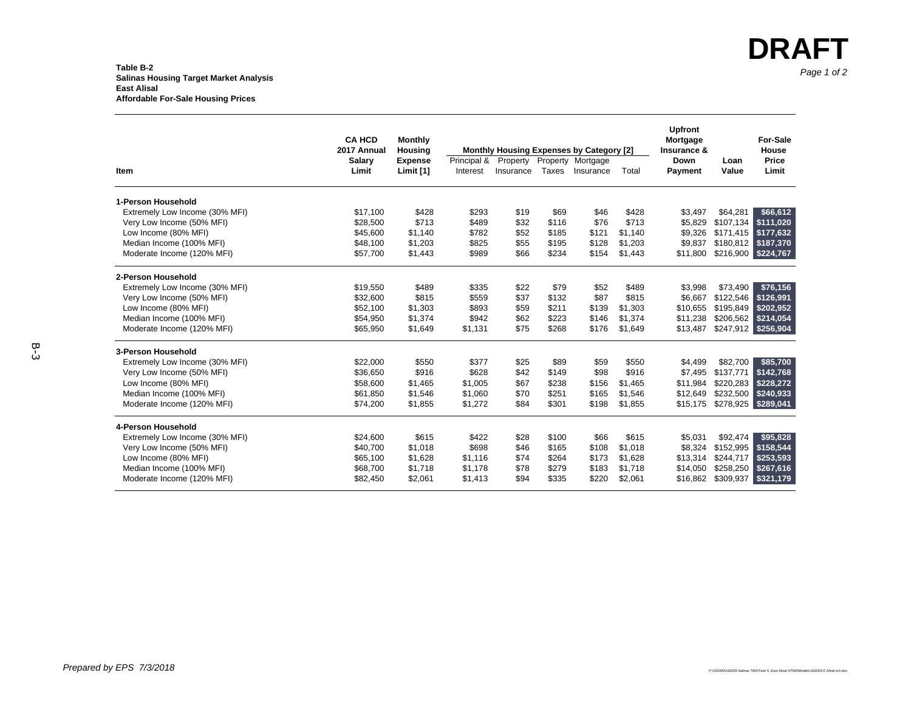### *Page 1 of 2* **Table B-2 Salinas Housing Target Market Analysis East Alisal Affordable For-Sale Housing Prices**

|                                | <b>CA HCD</b><br>2017 Annual | <b>Monthly</b><br>Housing |             |           |          | <b>Monthly Housing Expenses by Category [2]</b> |         | <b>Upfront</b><br>Mortgage<br>Insurance & |           | <b>For-Sale</b><br>House |
|--------------------------------|------------------------------|---------------------------|-------------|-----------|----------|-------------------------------------------------|---------|-------------------------------------------|-----------|--------------------------|
|                                | Salary                       | <b>Expense</b>            | Principal & | Property  | Property | Mortgage                                        |         | Down                                      | Loan      | Price                    |
| Item                           | Limit                        | Limit [1]                 | Interest    | Insurance | Taxes    | Insurance                                       | Total   | Payment                                   | Value     | Limit                    |
| 1-Person Household             |                              |                           |             |           |          |                                                 |         |                                           |           |                          |
| Extremely Low Income (30% MFI) | \$17,100                     | \$428                     | \$293       | \$19      | \$69     | \$46                                            | \$428   | \$3,497                                   | \$64,281  | \$66,612                 |
| Very Low Income (50% MFI)      | \$28,500                     | \$713                     | \$489       | \$32      | \$116    | \$76                                            | \$713   | \$5,829                                   | \$107,134 | \$111.020                |
| Low Income (80% MFI)           | \$45,600                     | \$1,140                   | \$782       | \$52      | \$185    | \$121                                           | \$1.140 | \$9,326                                   |           | \$171,415 \$177,632      |
| Median Income (100% MFI)       | \$48,100                     | \$1,203                   | \$825       | \$55      | \$195    | \$128                                           | \$1,203 | \$9,837                                   |           | \$180,812 \$187,370      |
| Moderate Income (120% MFI)     | \$57,700                     | \$1,443                   | \$989       | \$66      | \$234    | \$154                                           | \$1,443 | \$11,800                                  |           | \$216,900 \$224,767      |
| 2-Person Household             |                              |                           |             |           |          |                                                 |         |                                           |           |                          |
| Extremely Low Income (30% MFI) | \$19,550                     | \$489                     | \$335       | \$22      | \$79     | \$52                                            | \$489   | \$3,998                                   | \$73,490  | \$76,156                 |
| Very Low Income (50% MFI)      | \$32,600                     | \$815                     | \$559       | \$37      | \$132    | \$87                                            | \$815   | \$6,667                                   | \$122,546 | \$126,991                |
| Low Income (80% MFI)           | \$52,100                     | \$1,303                   | \$893       | \$59      | \$211    | \$139                                           | \$1,303 | \$10.655                                  | \$195,849 | \$202,952                |
| Median Income (100% MFI)       | \$54,950                     | \$1,374                   | \$942       | \$62      | \$223    | \$146                                           | \$1,374 | \$11,238                                  |           | \$206,562 \$214,054      |
| Moderate Income (120% MFI)     | \$65,950                     | \$1,649                   | \$1,131     | \$75      | \$268    | \$176                                           | \$1,649 | \$13,487                                  |           | \$247,912 \$256,904      |
| 3-Person Household             |                              |                           |             |           |          |                                                 |         |                                           |           |                          |
| Extremely Low Income (30% MFI) | \$22,000                     | \$550                     | \$377       | \$25      | \$89     | \$59                                            | \$550   | \$4.499                                   | \$82,700  | \$85,700                 |
| Very Low Income (50% MFI)      | \$36,650                     | \$916                     | \$628       | \$42      | \$149    | \$98                                            | \$916   | \$7,495                                   | \$137,771 | \$142,768                |
| Low Income (80% MFI)           | \$58,600                     | \$1,465                   | \$1,005     | \$67      | \$238    | \$156                                           | \$1,465 | \$11,984                                  | \$220,283 | \$228,272                |
| Median Income (100% MFI)       | \$61,850                     | \$1,546                   | \$1,060     | \$70      | \$251    | \$165                                           | \$1,546 | \$12,649                                  |           | \$232,500 \$240,933      |
| Moderate Income (120% MFI)     | \$74,200                     | \$1,855                   | \$1,272     | \$84      | \$301    | \$198                                           | \$1,855 | \$15,175                                  | \$278,925 | \$289,041                |
| 4-Person Household             |                              |                           |             |           |          |                                                 |         |                                           |           |                          |
| Extremely Low Income (30% MFI) | \$24,600                     | \$615                     | \$422       | \$28      | \$100    | \$66                                            | \$615   | \$5,031                                   | \$92,474  | \$95,828                 |
| Very Low Income (50% MFI)      | \$40,700                     | \$1,018                   | \$698       | \$46      | \$165    | \$108                                           | \$1,018 | \$8,324                                   | \$152,995 | \$158,544                |
| Low Income (80% MFI)           | \$65,100                     | \$1,628                   | \$1,116     | \$74      | \$264    | \$173                                           | \$1,628 | \$13,314                                  | \$244,717 | \$253,593                |
| Median Income (100% MFI)       | \$68,700                     | \$1,718                   | \$1,178     | \$78      | \$279    | \$183                                           | \$1,718 | \$14,050                                  | \$258,250 | \$267,616                |
| Moderate Income (120% MFI)     | \$82,450                     | \$2,061                   | \$1,413     | \$94      | \$335    | \$220                                           | \$2,061 | \$16,862                                  | \$309,937 | \$321,179                |